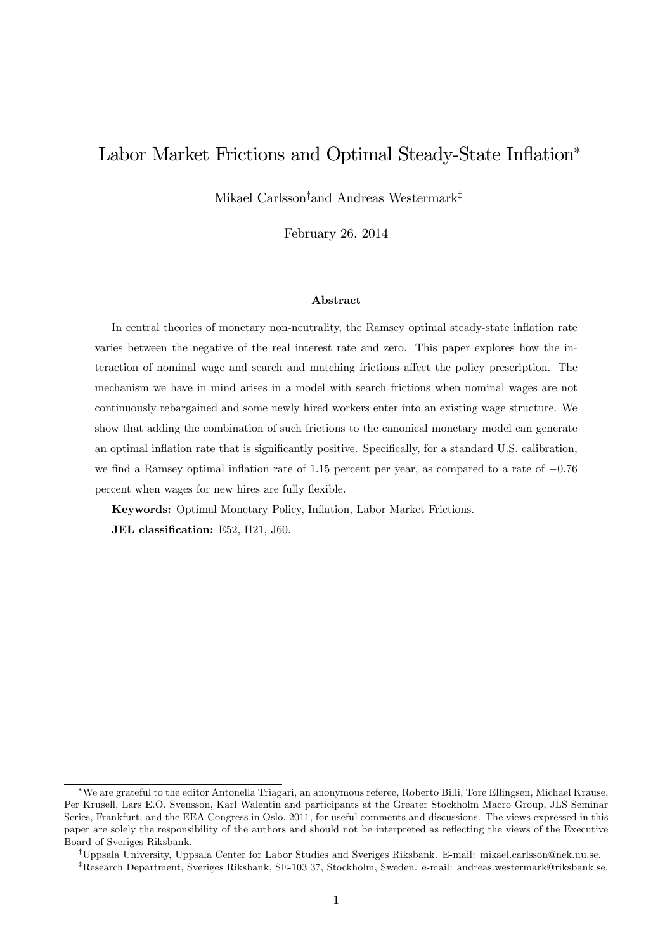## Labor Market Frictions and Optimal Steady-State Inflation<sup>∗</sup>

Mikael Carlsson† and Andreas Westermark‡

February 26, 2014

#### Abstract

In central theories of monetary non-neutrality, the Ramsey optimal steady-state inflation rate varies between the negative of the real interest rate and zero. This paper explores how the interaction of nominal wage and search and matching frictions affect the policy prescription. The mechanism we have in mind arises in a model with search frictions when nominal wages are not continuously rebargained and some newly hired workers enter into an existing wage structure. We show that adding the combination of such frictions to the canonical monetary model can generate an optimal inflation rate that is significantly positive. Specifically, for a standard U.S. calibration, we find a Ramsey optimal inflation rate of 115 percent per year, as compared to a rate of −076 percent when wages for new hires are fully flexible.

Keywords: Optimal Monetary Policy, Inflation, Labor Market Frictions. JEL classification: E52, H21, J60.

<sup>∗</sup>We are grateful to the editor Antonella Triagari, an anonymous referee, Roberto Billi, Tore Ellingsen, Michael Krause, Per Krusell, Lars E.O. Svensson, Karl Walentin and participants at the Greater Stockholm Macro Group, JLS Seminar Series, Frankfurt, and the EEA Congress in Oslo, 2011, for useful comments and discussions. The views expressed in this paper are solely the responsibility of the authors and should not be interpreted as reflecting the views of the Executive Board of Sveriges Riksbank.

<sup>†</sup>Uppsala University, Uppsala Center for Labor Studies and Sveriges Riksbank. E-mail: mikael.carlsson@nek.uu.se.

<sup>‡</sup>Research Department, Sveriges Riksbank, SE-103 37, Stockholm, Sweden. e-mail: andreas.westermark@riksbank.se.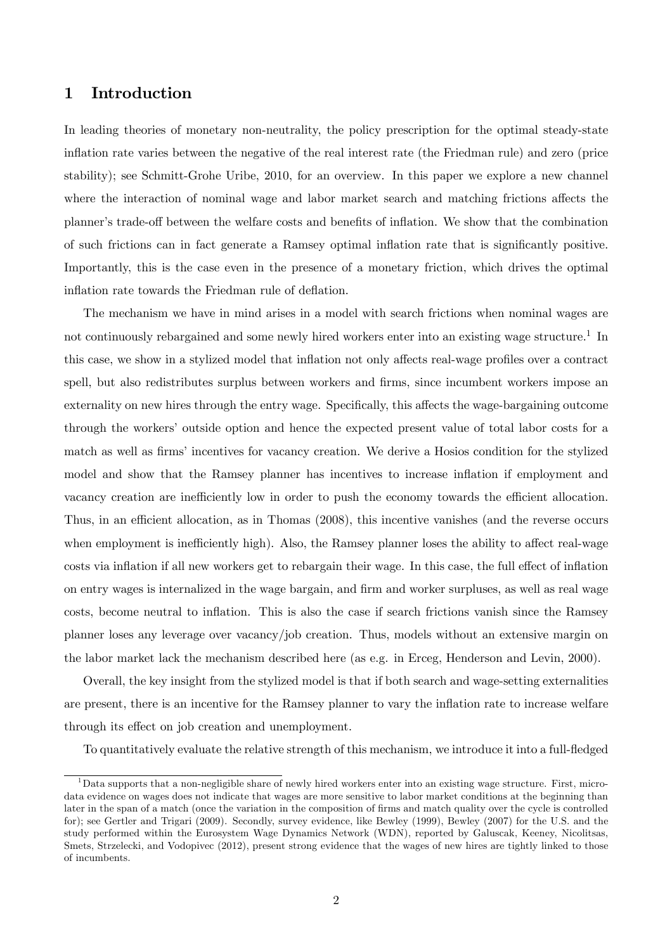## 1 Introduction

In leading theories of monetary non-neutrality, the policy prescription for the optimal steady-state inflation rate varies between the negative of the real interest rate (the Friedman rule) and zero (price stability); see Schmitt-Grohe Uribe, 2010, for an overview. In this paper we explore a new channel where the interaction of nominal wage and labor market search and matching frictions affects the planner's trade-off between the welfare costs and benefits of inflation. We show that the combination of such frictions can in fact generate a Ramsey optimal inflation rate that is significantly positive. Importantly, this is the case even in the presence of a monetary friction, which drives the optimal inflation rate towards the Friedman rule of deflation.

The mechanism we have in mind arises in a model with search frictions when nominal wages are not continuously rebargained and some newly hired workers enter into an existing wage structure.<sup>1</sup> In this case, we show in a stylized model that inflation not only affects real-wage profiles over a contract spell, but also redistributes surplus between workers and firms, since incumbent workers impose an externality on new hires through the entry wage. Specifically, this affects the wage-bargaining outcome through the workers' outside option and hence the expected present value of total labor costs for a match as well as firms' incentives for vacancy creation. We derive a Hosios condition for the stylized model and show that the Ramsey planner has incentives to increase inflation if employment and vacancy creation are inefficiently low in order to push the economy towards the efficient allocation. Thus, in an efficient allocation, as in Thomas (2008), this incentive vanishes (and the reverse occurs when employment is inefficiently high). Also, the Ramsey planner loses the ability to affect real-wage costs via inflation if all new workers get to rebargain their wage. In this case, the full effect of inflation on entry wages is internalized in the wage bargain, and firm and worker surpluses, as well as real wage costs, become neutral to inflation. This is also the case if search frictions vanish since the Ramsey planner loses any leverage over vacancy/job creation. Thus, models without an extensive margin on the labor market lack the mechanism described here (as e.g. in Erceg, Henderson and Levin, 2000).

Overall, the key insight from the stylized model is that if both search and wage-setting externalities are present, there is an incentive for the Ramsey planner to vary the inflation rate to increase welfare through its effect on job creation and unemployment.

To quantitatively evaluate the relative strength of this mechanism, we introduce it into a full-fledged

 $1<sup>1</sup>$ Data supports that a non-negligible share of newly hired workers enter into an existing wage structure. First, microdata evidence on wages does not indicate that wages are more sensitive to labor market conditions at the beginning than later in the span of a match (once the variation in the composition of firms and match quality over the cycle is controlled for); see Gertler and Trigari (2009). Secondly, survey evidence, like Bewley (1999), Bewley (2007) for the U.S. and the study performed within the Eurosystem Wage Dynamics Network (WDN), reported by Galuscak, Keeney, Nicolitsas, Smets, Strzelecki, and Vodopivec (2012), present strong evidence that the wages of new hires are tightly linked to those of incumbents.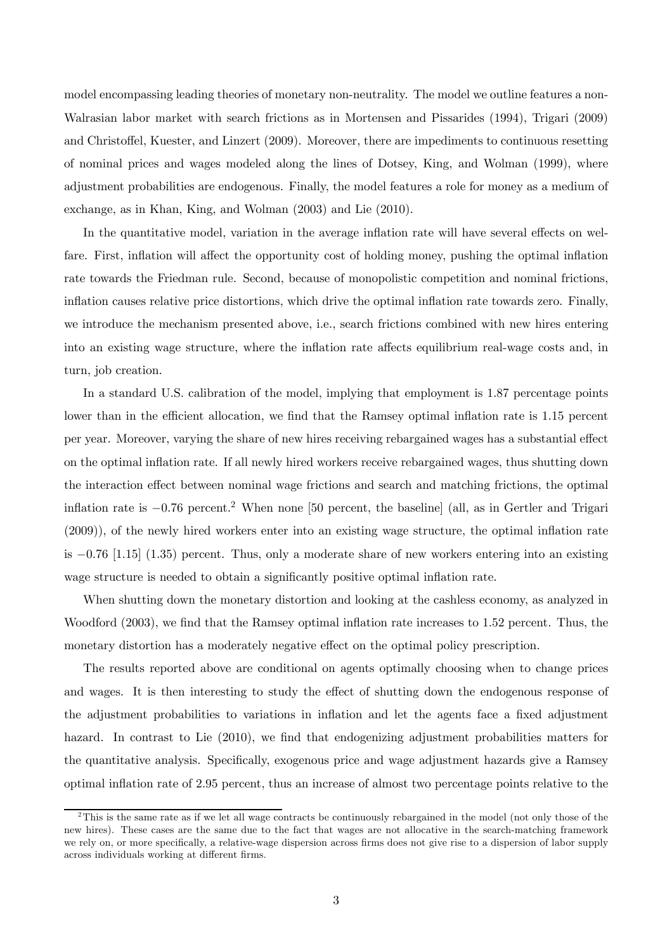model encompassing leading theories of monetary non-neutrality. The model we outline features a non-Walrasian labor market with search frictions as in Mortensen and Pissarides (1994), Trigari (2009) and Christoffel, Kuester, and Linzert (2009). Moreover, there are impediments to continuous resetting of nominal prices and wages modeled along the lines of Dotsey, King, and Wolman (1999), where adjustment probabilities are endogenous. Finally, the model features a role for money as a medium of exchange, as in Khan, King, and Wolman (2003) and Lie (2010).

In the quantitative model, variation in the average inflation rate will have several effects on welfare. First, inflation will affect the opportunity cost of holding money, pushing the optimal inflation rate towards the Friedman rule. Second, because of monopolistic competition and nominal frictions, inflation causes relative price distortions, which drive the optimal inflation rate towards zero. Finally, we introduce the mechanism presented above, i.e., search frictions combined with new hires entering into an existing wage structure, where the inflation rate affects equilibrium real-wage costs and, in turn, job creation.

In a standard U.S. calibration of the model, implying that employment is 187 percentage points lower than in the efficient allocation, we find that the Ramsey optimal inflation rate is 115 percent per year. Moreover, varying the share of new hires receiving rebargained wages has a substantial effect on the optimal inflation rate. If all newly hired workers receive rebargained wages, thus shutting down the interaction effect between nominal wage frictions and search and matching frictions, the optimal inflation rate is <sup>−</sup>0<sup>76</sup> percent.2 When none [<sup>50</sup> percent, the baseline] (all, as in Gertler and Trigari (2009)), of the newly hired workers enter into an existing wage structure, the optimal inflation rate is −076 [115] (135) percent. Thus, only a moderate share of new workers entering into an existing wage structure is needed to obtain a significantly positive optimal inflation rate.

When shutting down the monetary distortion and looking at the cashless economy, as analyzed in Woodford (2003), we find that the Ramsey optimal inflation rate increases to 1.52 percent. Thus, the monetary distortion has a moderately negative effect on the optimal policy prescription.

The results reported above are conditional on agents optimally choosing when to change prices and wages. It is then interesting to study the effect of shutting down the endogenous response of the adjustment probabilities to variations in inflation and let the agents face a fixed adjustment hazard. In contrast to Lie  $(2010)$ , we find that endogenizing adjustment probabilities matters for the quantitative analysis. Specifically, exogenous price and wage adjustment hazards give a Ramsey optimal inflation rate of 295 percent, thus an increase of almost two percentage points relative to the

 $2$ This is the same rate as if we let all wage contracts be continuously rebargained in the model (not only those of the new hires). These cases are the same due to the fact that wages are not allocative in the search-matching framework we rely on, or more specifically, a relative-wage dispersion across firms does not give rise to a dispersion of labor supply across individuals working at different firms.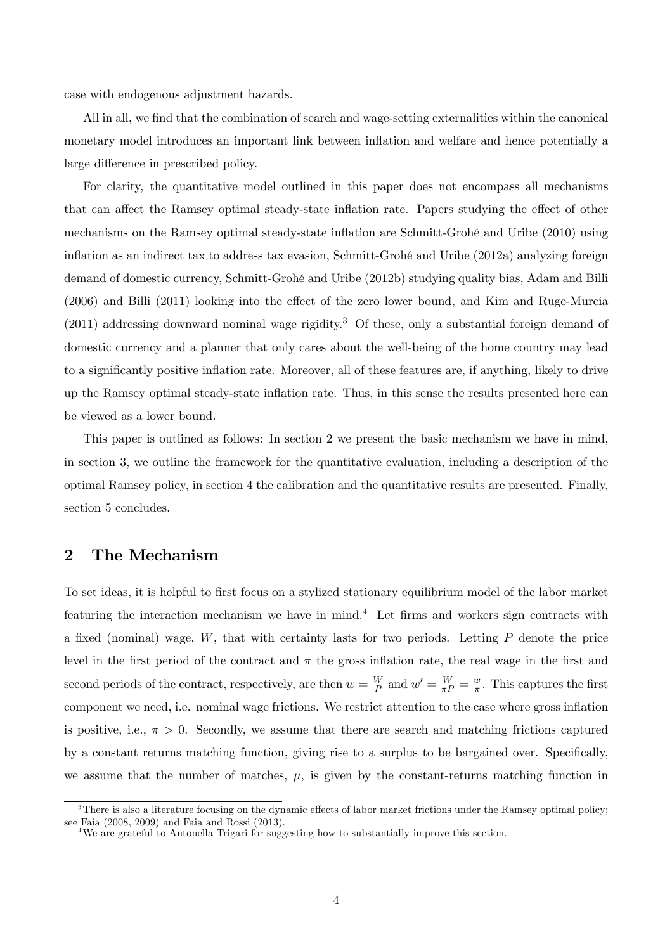case with endogenous adjustment hazards.

All in all, we find that the combination of search and wage-setting externalities within the canonical monetary model introduces an important link between inflation and welfare and hence potentially a large difference in prescribed policy.

For clarity, the quantitative model outlined in this paper does not encompass all mechanisms that can affect the Ramsey optimal steady-state inflation rate. Papers studying the effect of other mechanisms on the Ramsey optimal steady-state inflation are Schmitt-Grohé and Uribe (2010) using inflation as an indirect tax to address tax evasion, Schmitt-Grohé and Uribe (2012a) analyzing foreign demand of domestic currency, Schmitt-Grohé and Uribe (2012b) studying quality bias, Adam and Billi (2006) and Billi (2011) looking into the effect of the zero lower bound, and Kim and Ruge-Murcia  $(2011)$  addressing downward nominal wage rigidity.<sup>3</sup> Of these, only a substantial foreign demand of domestic currency and a planner that only cares about the well-being of the home country may lead to a significantly positive inflation rate. Moreover, all of these features are, if anything, likely to drive up the Ramsey optimal steady-state inflation rate. Thus, in this sense the results presented here can be viewed as a lower bound.

This paper is outlined as follows: In section 2 we present the basic mechanism we have in mind, in section 3, we outline the framework for the quantitative evaluation, including a description of the optimal Ramsey policy, in section 4 the calibration and the quantitative results are presented. Finally, section 5 concludes.

## 2 The Mechanism

To set ideas, it is helpful to first focus on a stylized stationary equilibrium model of the labor market featuring the interaction mechanism we have in mind.<sup>4</sup> Let firms and workers sign contracts with a fixed (nominal) wage,  $W$ , that with certainty lasts for two periods. Letting  $P$  denote the price level in the first period of the contract and  $\pi$  the gross inflation rate, the real wage in the first and second periods of the contract, respectively, are then  $w = \frac{W}{P}$  and  $w' = \frac{W}{\pi P} = \frac{w}{\pi}$ . This captures the first component we need, i.e. nominal wage frictions. We restrict attention to the case where gross inflation is positive, i.e.,  $\pi > 0$ . Secondly, we assume that there are search and matching frictions captured by a constant returns matching function, giving rise to a surplus to be bargained over. Specifically, we assume that the number of matches,  $\mu$ , is given by the constant-returns matching function in

 $3$ There is also a literature focusing on the dynamic effects of labor market frictions under the Ramsey optimal policy; see Faia  $(2008, 2009)$  and Faia and Rossi  $(2013)$ .

<sup>&</sup>lt;sup>4</sup>We are grateful to Antonella Trigari for suggesting how to substantially improve this section.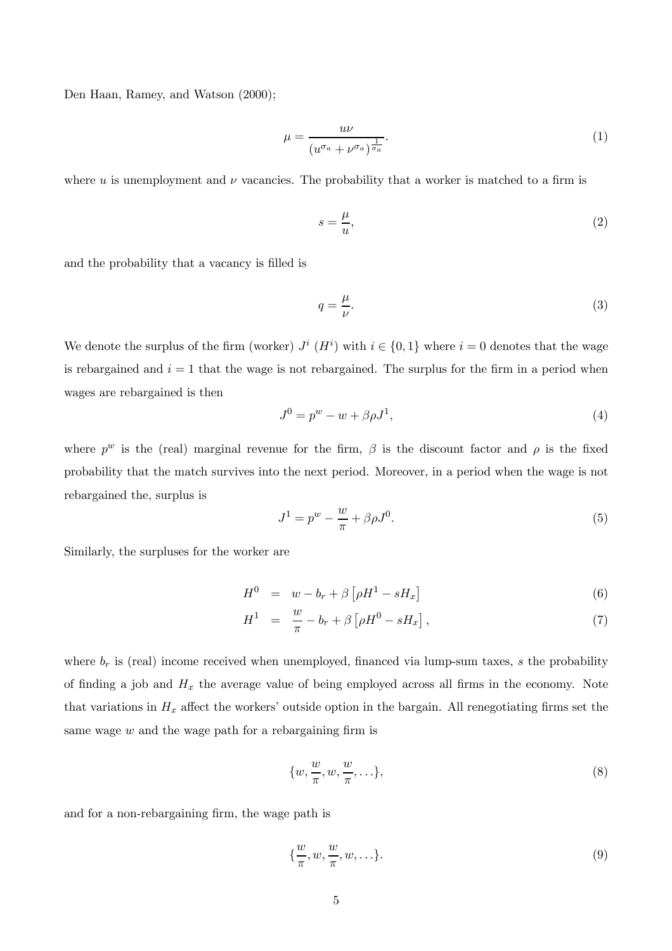Den Haan, Ramey, and Watson (2000);

$$
\mu = \frac{u\nu}{(u^{\sigma_a} + \nu^{\sigma_a})^{\frac{1}{\sigma_a}}}.\tag{1}
$$

where  $u$  is unemployment and  $\nu$  vacancies. The probability that a worker is matched to a firm is

$$
s = \frac{\mu}{u},\tag{2}
$$

and the probability that a vacancy is filled is

$$
q = \frac{\mu}{\nu}.\tag{3}
$$

We denote the surplus of the firm (worker)  $J^i$  ( $H^i$ ) with  $i \in \{0,1\}$  where  $i = 0$  denotes that the wage is rebargained and  $i = 1$  that the wage is not rebargained. The surplus for the firm in a period when wages are rebargained is then

$$
J^0 = p^w - w + \beta \rho J^1,\tag{4}
$$

where  $p^w$  is the (real) marginal revenue for the firm,  $\beta$  is the discount factor and  $\rho$  is the fixed probability that the match survives into the next period. Moreover, in a period when the wage is not rebargained the, surplus is

$$
J^1 = p^w - \frac{w}{\pi} + \beta \rho J^0. \tag{5}
$$

Similarly, the surpluses for the worker are

$$
H^{0} = w - b_{r} + \beta \left[ \rho H^{1} - s H_{x} \right] \tag{6}
$$

$$
H^{1} = \frac{w}{\pi} - b_{r} + \beta \left[ \rho H^{0} - s H_{x} \right], \qquad (7)
$$

where  $b_r$  is (real) income received when unemployed, financed via lump-sum taxes, s the probability of finding a job and  $H_x$  the average value of being employed across all firms in the economy. Note that variations in  $H_x$  affect the workers' outside option in the bargain. All renegotiating firms set the same wage  $w$  and the wage path for a rebargaining firm is

$$
\{w, \frac{w}{\pi}, w, \frac{w}{\pi}, \ldots\},\tag{8}
$$

and for a non-rebargaining firm, the wage path is

$$
\{\frac{w}{\pi}, w, \frac{w}{\pi}, w, \ldots\}.
$$
 (9)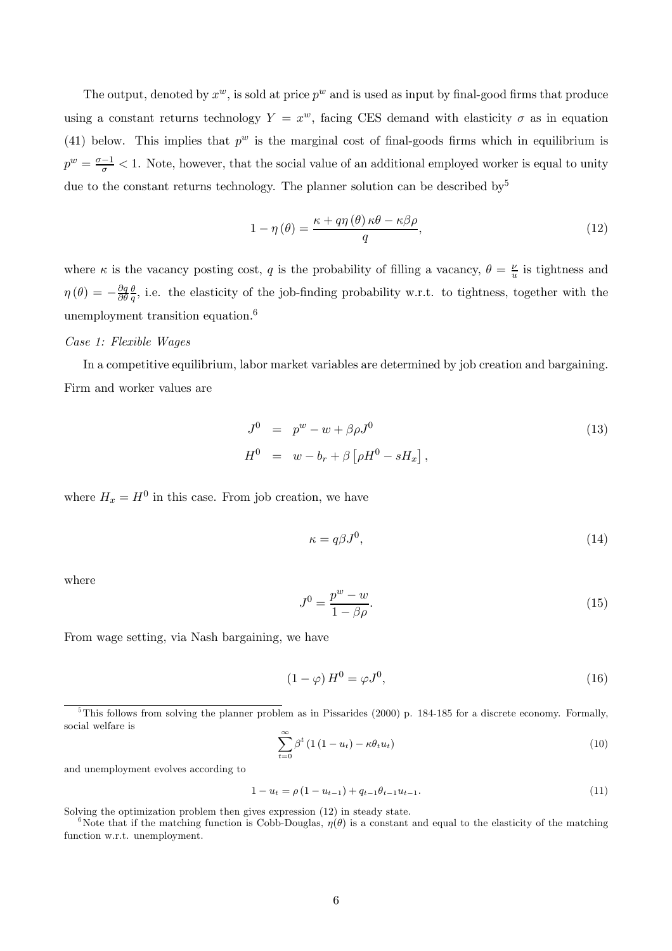The output, denoted by  $x^w$ , is sold at price  $p^w$  and is used as input by final-good firms that produce using a constant returns technology  $Y = x^w$ , facing CES demand with elasticity  $\sigma$  as in equation (41) below. This implies that  $p^w$  is the marginal cost of final-goods firms which in equilibrium is  $p^w = \frac{\sigma - 1}{\sigma} < 1$ . Note, however, that the social value of an additional employed worker is equal to unity due to the constant returns technology. The planner solution can be described by<sup>5</sup>

$$
1 - \eta(\theta) = \frac{\kappa + q\eta(\theta)\kappa\theta - \kappa\beta\rho}{q},\tag{12}
$$

where  $\kappa$  is the vacancy posting cost, q is the probability of filling a vacancy,  $\theta = \frac{\nu}{u}$  is tightness and  $\eta(\theta) = -\frac{\partial q}{\partial \theta}$  $\frac{\theta}{q}$ , i.e. the elasticity of the job-finding probability w.r.t. to tightness, together with the unemployment transition equation.6

#### Case 1: Flexible Wages

In a competitive equilibrium, labor market variables are determined by job creation and bargaining. Firm and worker values are

$$
J0 = pw - w + \beta \rho J0
$$
  
\n
$$
H0 = w - br + \beta [\rho H0 - sHx],
$$
\n(13)

where  $H_x = H^0$  in this case. From job creation, we have

$$
\kappa = q\beta J^0,\tag{14}
$$

where

$$
J^0 = \frac{p^w - w}{1 - \beta \rho}.\tag{15}
$$

From wage setting, via Nash bargaining, we have

$$
(1 - \varphi) H^0 = \varphi J^0,\tag{16}
$$

$$
\sum_{t=0}^{\infty} \beta^t \left( 1\left( 1 - u_t \right) - \kappa \theta_t u_t \right) \tag{10}
$$

and unemployment evolves according to

$$
1 - u_t = \rho \left( 1 - u_{t-1} \right) + q_{t-1} \theta_{t-1} u_{t-1}.
$$
\n
$$
(11)
$$

Solving the optimization problem then gives expression (12) in steady state.<br><sup>6</sup>Note that if the matching function is Cobb-Douglas,  $\eta(\theta)$  is a constant and equal to the elasticity of the matching function w.r.t. unemployment.

 $5$ This follows from solving the planner problem as in Pissarides (2000) p. 184-185 for a discrete economy. Formally, social welfare is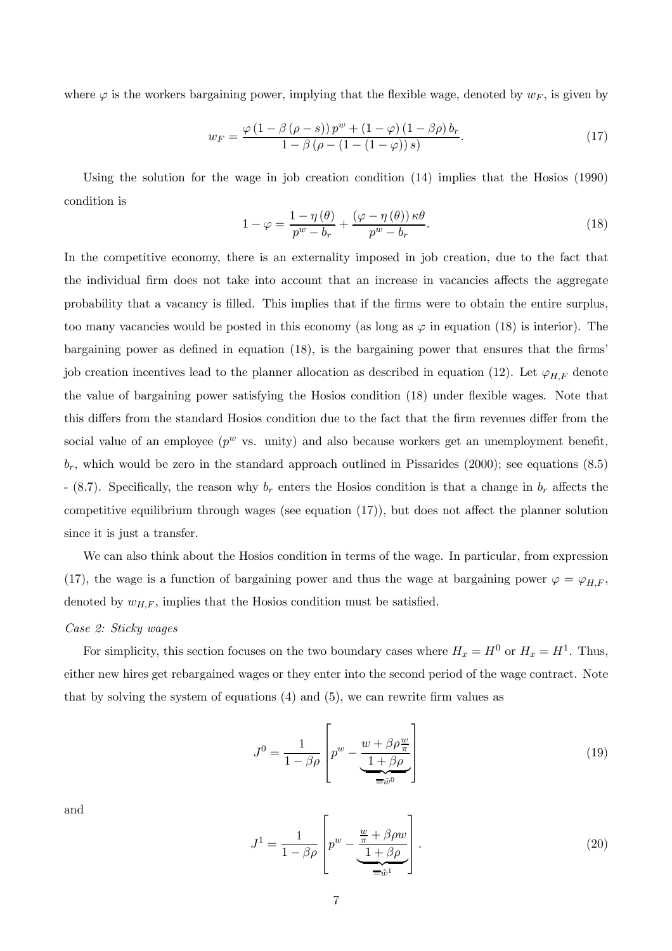where  $\varphi$  is the workers bargaining power, implying that the flexible wage, denoted by  $w_F$ , is given by

$$
w_F = \frac{\varphi(1 - \beta(\rho - s)) p^w + (1 - \varphi)(1 - \beta \rho) b_r}{1 - \beta(\rho - (1 - (1 - \varphi)) s)}.
$$
\n(17)

Using the solution for the wage in job creation condition (14) implies that the Hosios (1990) condition is

$$
1 - \varphi = \frac{1 - \eta(\theta)}{p^w - b_r} + \frac{(\varphi - \eta(\theta)) \kappa \theta}{p^w - b_r}.
$$
\n(18)

In the competitive economy, there is an externality imposed in job creation, due to the fact that the individual firm does not take into account that an increase in vacancies affects the aggregate probability that a vacancy is filled. This implies that if the firms were to obtain the entire surplus, too many vacancies would be posted in this economy (as long as  $\varphi$  in equation (18) is interior). The bargaining power as defined in equation (18), is the bargaining power that ensures that the firms' job creation incentives lead to the planner allocation as described in equation (12). Let  $\varphi_{H,F}$  denote the value of bargaining power satisfying the Hosios condition (18) under flexible wages. Note that this differs from the standard Hosios condition due to the fact that the firm revenues differ from the social value of an employee ( $p^w$  vs. unity) and also because workers get an unemployment benefit,  $b_r$ , which would be zero in the standard approach outlined in Pissarides (2000); see equations (8.5) - (8.7). Specifically, the reason why  $b_r$  enters the Hosios condition is that a change in  $b_r$  affects the competitive equilibrium through wages (see equation (17)), but does not affect the planner solution since it is just a transfer.

We can also think about the Hosios condition in terms of the wage. In particular, from expression (17), the wage is a function of bargaining power and thus the wage at bargaining power  $\varphi = \varphi_{H,F}$ , denoted by  $w_{H,F}$ , implies that the Hosios condition must be satisfied.

#### Case 2: Sticky wages

For simplicity, this section focuses on the two boundary cases where  $H_x = H^0$  or  $H_x = H^1$ . Thus, either new hires get rebargained wages or they enter into the second period of the wage contract. Note that by solving the system of equations (4) and (5), we can rewrite firm values as

$$
J^{0} = \frac{1}{1 - \beta \rho} \left[ p^{w} - \frac{w + \beta \rho \frac{w}{\pi}}{1 + \beta \rho} \right]
$$
(19)

and

$$
J^{1} = \frac{1}{1 - \beta \rho} \left[ p^{w} - \frac{\frac{w}{\pi} + \beta \rho w}{\frac{1 + \beta \rho}{\pi \tilde{w}^{1}}} \right].
$$
 (20)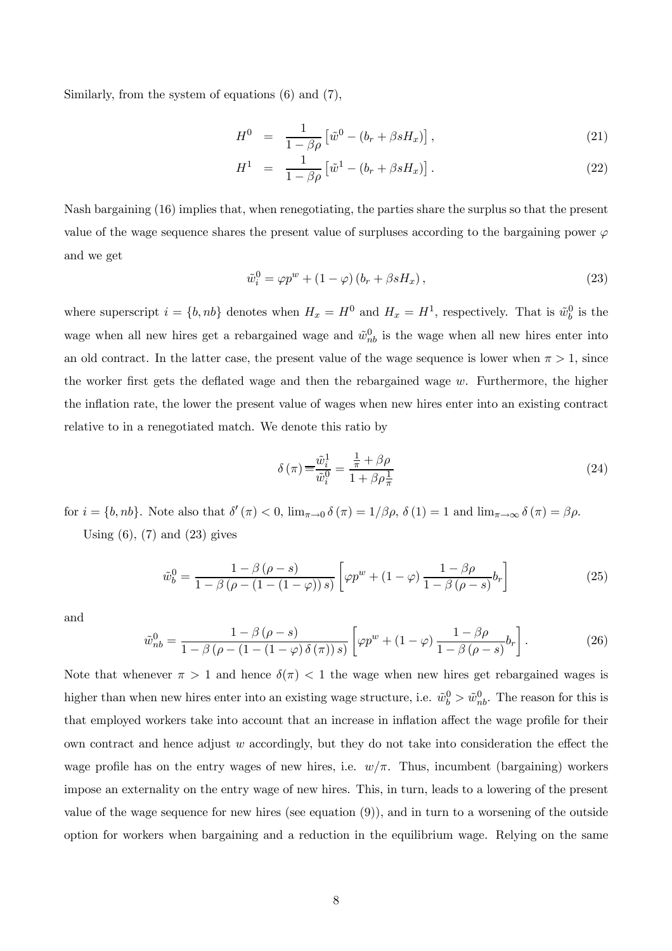Similarly, from the system of equations (6) and (7),

$$
H^{0} = \frac{1}{1 - \beta \rho} \left[ \tilde{w}^{0} - (b_{r} + \beta s H_{x}) \right], \qquad (21)
$$

$$
H^{1} = \frac{1}{1 - \beta \rho} \left[ \tilde{w}^{1} - (b_{r} + \beta s H_{x}) \right]. \tag{22}
$$

Nash bargaining (16) implies that, when renegotiating, the parties share the surplus so that the present value of the wage sequence shares the present value of surpluses according to the bargaining power  $\varphi$ and we get

$$
\tilde{w}_i^0 = \varphi p^w + (1 - \varphi)(b_r + \beta s H_x), \qquad (23)
$$

where superscript  $i = \{b, nb\}$  denotes when  $H_x = H^0$  and  $H_x = H^1$ , respectively. That is  $\tilde{w}_b^0$  is the wage when all new hires get a rebargained wage and  $\tilde{w}_{nb}^0$  is the wage when all new hires enter into an old contract. In the latter case, the present value of the wage sequence is lower when  $\pi > 1$ , since the worker first gets the deflated wage and then the rebargained wage  $w$ . Furthermore, the higher the inflation rate, the lower the present value of wages when new hires enter into an existing contract relative to in a renegotiated match. We denote this ratio by

$$
\delta(\pi) \equiv \frac{\tilde{w}_i^1}{\tilde{w}_i^0} = \frac{\frac{1}{\pi} + \beta \rho}{1 + \beta \rho \frac{1}{\pi}}
$$
\n(24)

for  $i = \{b, nb\}$ . Note also that  $\delta'(\pi) < 0$ ,  $\lim_{\pi \to 0} \delta(\pi) = 1/\beta \rho$ ,  $\delta(1) = 1$  and  $\lim_{\pi \to \infty} \delta(\pi) = \beta \rho$ . Using  $(6)$ ,  $(7)$  and  $(23)$  gives

$$
\tilde{w}_b^0 = \frac{1 - \beta(\rho - s)}{1 - \beta(\rho - (1 - (1 - \varphi))s)} \left[ \varphi p^w + (1 - \varphi) \frac{1 - \beta \rho}{1 - \beta(\rho - s)} b_r \right]
$$
\n(25)

and

$$
\tilde{w}_{nb}^{0} = \frac{1 - \beta(\rho - s)}{1 - \beta(\rho - (1 - (1 - \varphi)\delta(\pi))s)} \left[ \varphi p^{w} + (1 - \varphi)\frac{1 - \beta\rho}{1 - \beta(\rho - s)}b_{r} \right].
$$
\n(26)

Note that whenever  $\pi > 1$  and hence  $\delta(\pi) < 1$  the wage when new hires get rebargained wages is higher than when new hires enter into an existing wage structure, i.e.  $\tilde{w}_b^0 > \tilde{w}_{nb}^0$ . The reason for this is that employed workers take into account that an increase in inflation affect the wage profile for their own contract and hence adjust  $w$  accordingly, but they do not take into consideration the effect the wage profile has on the entry wages of new hires, i.e.  $w/\pi$ . Thus, incumbent (bargaining) workers impose an externality on the entry wage of new hires. This, in turn, leads to a lowering of the present value of the wage sequence for new hires (see equation (9)), and in turn to a worsening of the outside option for workers when bargaining and a reduction in the equilibrium wage. Relying on the same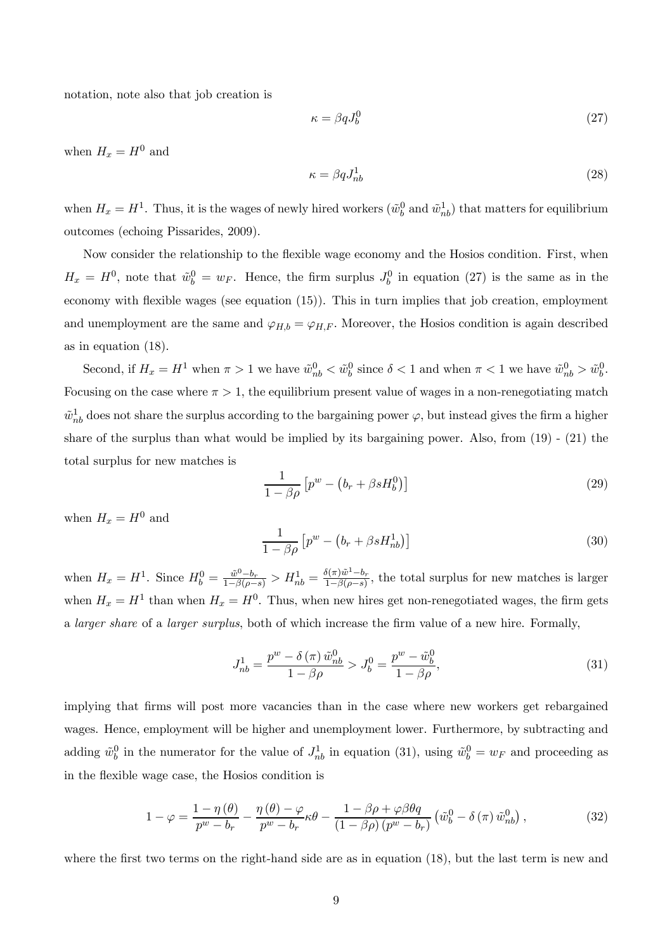notation, note also that job creation is

$$
\kappa = \beta q J_b^0 \tag{27}
$$

when  $H_x = H^0$  and

$$
\kappa = \beta q J_{nb}^{1} \tag{28}
$$

when  $H_x = H^1$ . Thus, it is the wages of newly hired workers  $(\tilde{w}_b^0$  and  $\tilde{w}_{nb}^1)$  that matters for equilibrium outcomes (echoing Pissarides, 2009).

Now consider the relationship to the flexible wage economy and the Hosios condition. First, when  $H_x = H^0$ , note that  $\tilde{w}_b^0 = w_F$ . Hence, the firm surplus  $J_b^0$  in equation (27) is the same as in the economy with flexible wages (see equation (15)). This in turn implies that job creation, employment and unemployment are the same and  $\varphi_{H,b} = \varphi_{H,F}$ . Moreover, the Hosios condition is again described as in equation (18).

Second, if  $H_x = H^1$  when  $\pi > 1$  we have  $\tilde{w}_{nb}^0 < \tilde{w}_{b}^0$  since  $\delta < 1$  and when  $\pi < 1$  we have  $\tilde{w}_{nb}^0 > \tilde{w}_{b}^0$ . Focusing on the case where  $\pi > 1$ , the equilibrium present value of wages in a non-renegotiating match  $\tilde{w}_{nb}^1$  does not share the surplus according to the bargaining power  $\varphi$ , but instead gives the firm a higher share of the surplus than what would be implied by its bargaining power. Also, from (19) - (21) the total surplus for new matches is

$$
\frac{1}{1-\beta\rho}\left[p^w - \left(b_r + \beta s H_b^0\right)\right] \tag{29}
$$

when  $H_x = H^0$  and

$$
\frac{1}{1-\beta\rho} \left[ p^w - \left( b_r + \beta s H_{nb}^1 \right) \right] \tag{30}
$$

when  $H_x = H^1$ . Since  $H_b^0 = \frac{\tilde{w}^0 - b_r}{1 - \beta(\rho - s)} > H_{nb}^1 = \frac{\delta(\pi)\tilde{w}^1 - b_r}{1 - \beta(\rho - s)}$ , the total surplus for new matches is larger when  $H_x = H^1$  than when  $H_x = H^0$ . Thus, when new hires get non-renegotiated wages, the firm gets a larger share of a larger surplus, both of which increase the firm value of a new hire. Formally,

$$
J_{nb}^{1} = \frac{p^{w} - \delta(\pi) \tilde{w}_{nb}^{0}}{1 - \beta \rho} > J_{b}^{0} = \frac{p^{w} - \tilde{w}_{b}^{0}}{1 - \beta \rho},
$$
\n(31)

implying that firms will post more vacancies than in the case where new workers get rebargained wages. Hence, employment will be higher and unemployment lower. Furthermore, by subtracting and adding  $\tilde{w}_b^0$  in the numerator for the value of  $J_{nb}^1$  in equation (31), using  $\tilde{w}_b^0 = w_F$  and proceeding as in the flexible wage case, the Hosios condition is

$$
1 - \varphi = \frac{1 - \eta(\theta)}{p^w - b_r} - \frac{\eta(\theta) - \varphi}{p^w - b_r} \kappa \theta - \frac{1 - \beta \rho + \varphi \beta \theta q}{\left(1 - \beta \rho\right) \left(p^w - b_r\right)} \left(\tilde{w}_b^0 - \delta\left(\pi\right) \tilde{w}_{nb}^0\right),\tag{32}
$$

where the first two terms on the right-hand side are as in equation (18), but the last term is new and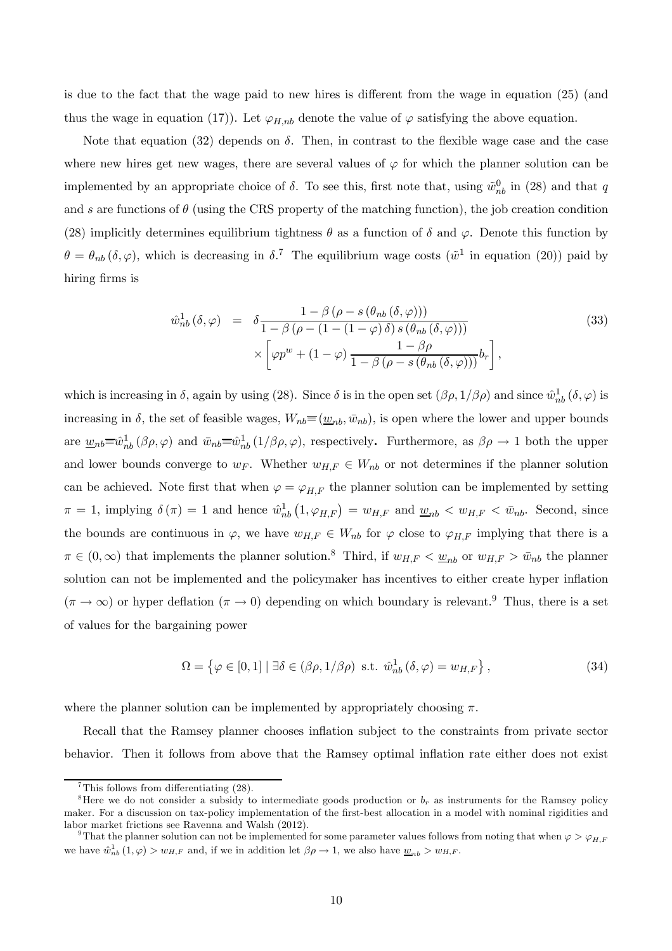is due to the fact that the wage paid to new hires is different from the wage in equation (25) (and thus the wage in equation (17)). Let  $\varphi_{H,nb}$  denote the value of  $\varphi$  satisfying the above equation.

Note that equation (32) depends on  $\delta$ . Then, in contrast to the flexible wage case and the case where new hires get new wages, there are several values of  $\varphi$  for which the planner solution can be implemented by an appropriate choice of  $\delta$ . To see this, first note that, using  $\tilde{w}_{nb}^0$  in (28) and that q and s are functions of  $\theta$  (using the CRS property of the matching function), the job creation condition (28) implicitly determines equilibrium tightness  $\theta$  as a function of  $\delta$  and  $\varphi$ . Denote this function by  $\theta = \theta_{nb} (\delta, \varphi)$ , which is decreasing in  $\delta$ .<sup>7</sup> The equilibrium wage costs ( $\tilde{\omega}^1$  in equation (20)) paid by hiring firms is

$$
\hat{w}_{nb}^{1}(\delta, \varphi) = \delta \frac{1 - \beta \left(\rho - s \left(\theta_{nb} \left(\delta, \varphi\right)\right)\right)}{1 - \beta \left(\rho - \left(1 - \left(1 - \varphi\right) \delta\right) s \left(\theta_{nb} \left(\delta, \varphi\right)\right)\right)} \times \left[\varphi p^{w} + \left(1 - \varphi\right) \frac{1 - \beta \rho}{1 - \beta \left(\rho - s \left(\theta_{nb} \left(\delta, \varphi\right)\right)\right)} b_{r}\right],
$$
\n(33)

which is increasing in  $\delta$ , again by using (28). Since  $\delta$  is in the open set  $(\beta \rho, 1/\beta \rho)$  and since  $\hat{w}_{nb}^1(\delta, \varphi)$  is increasing in  $\delta$ , the set of feasible wages,  $W_{nb} \equiv (\underline{w}_{nb}, \bar{w}_{nb})$ , is open where the lower and upper bounds are  $\underline{w}_{nb} \equiv \hat{w}_{nb}^1(\beta \rho, \varphi)$  and  $\overline{w}_{nb} \equiv \hat{w}_{nb}^1(1/\beta \rho, \varphi)$ , respectively. Furthermore, as  $\beta \rho \to 1$  both the upper and lower bounds converge to  $w_F$ . Whether  $w_{H,F} \in W_{nb}$  or not determines if the planner solution can be achieved. Note first that when  $\varphi = \varphi_{H,F}$  the planner solution can be implemented by setting  $\pi = 1$ , implying  $\delta(\pi) = 1$  and hence  $\hat{w}_{nb}^1(1, \varphi_{H,F}) = w_{H,F}$  and  $\underline{w}_{nb} < w_{H,F} < \overline{w}_{nb}$ . Second, since the bounds are continuous in  $\varphi$ , we have  $w_{H,F} \in W_{nb}$  for  $\varphi$  close to  $\varphi_{H,F}$  implying that there is a  $\pi \in (0,\infty)$  that implements the planner solution.<sup>8</sup> Third, if  $w_{H,F} < \underline{w}_{nb}$  or  $w_{H,F} > \overline{w}_{nb}$  the planner solution can not be implemented and the policymaker has incentives to either create hyper inflation  $(\pi \to \infty)$  or hyper deflation  $(\pi \to 0)$  depending on which boundary is relevant.<sup>9</sup> Thus, there is a set of values for the bargaining power

$$
\Omega = \left\{ \varphi \in [0, 1] \mid \exists \delta \in (\beta \rho, 1/\beta \rho) \text{ s.t. } \hat{w}_{nb}^{1} (\delta, \varphi) = w_{H, F} \right\},\tag{34}
$$

where the planner solution can be implemented by appropriately choosing  $\pi$ .

Recall that the Ramsey planner chooses inflation subject to the constraints from private sector behavior. Then it follows from above that the Ramsey optimal inflation rate either does not exist

<sup>&</sup>lt;sup>7</sup>This follows from differentiating  $(28)$ .

<sup>&</sup>lt;sup>8</sup>Here we do not consider a subsidy to intermediate goods production or  $b_r$  as instruments for the Ramsey policy maker. For a discussion on tax-policy implementation of the first-best allocation in a model with nominal rigidities and labor market frictions see Ravenna and Walsh (2012).<br><sup>9</sup>That the planner solution can not be implemented for some parameter values follows from noting that when  $\varphi > \varphi_{H,F}$ 

we have  $\hat{w}_{nb}^{1}(1,\varphi) > w_{H,F}$  and, if we in addition let  $\beta \rho \to 1$ , we also have  $\underline{w}_{nb} > w_{H,F}$ .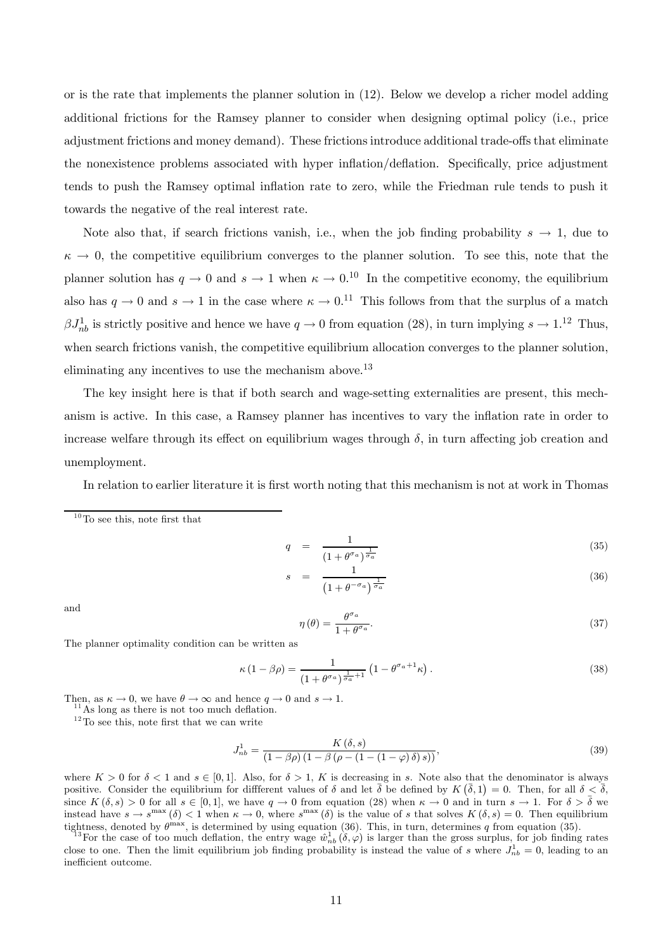or is the rate that implements the planner solution in (12). Below we develop a richer model adding additional frictions for the Ramsey planner to consider when designing optimal policy (i.e., price adjustment frictions and money demand). These frictions introduce additional trade-offs that eliminate the nonexistence problems associated with hyper inflation/deflation. Specifically, price adjustment tends to push the Ramsey optimal inflation rate to zero, while the Friedman rule tends to push it towards the negative of the real interest rate.

Note also that, if search frictions vanish, i.e., when the job finding probability  $s \to 1$ , due to  $\kappa \to 0$ , the competitive equilibrium converges to the planner solution. To see this, note that the planner solution has  $q \to 0$  and  $s \to 1$  when  $\kappa \to 0.1^{\circ}$  In the competitive economy, the equilibrium also has  $q \to 0$  and  $s \to 1$  in the case where  $\kappa \to 0.11$  This follows from that the surplus of a match  $\beta J_{nb}^1$  is strictly positive and hence we have  $q \to 0$  from equation (28), in turn implying  $s \to 1.12$  Thus, when search frictions vanish, the competitive equilibrium allocation converges to the planner solution, eliminating any incentives to use the mechanism above.<sup>13</sup>

The key insight here is that if both search and wage-setting externalities are present, this mechanism is active. In this case, a Ramsey planner has incentives to vary the inflation rate in order to increase welfare through its effect on equilibrium wages through  $\delta$ , in turn affecting job creation and unemployment.

In relation to earlier literature it is first worth noting that this mechanism is not at work in Thomas

$$
q = \frac{1}{\left(1 + \theta^{\sigma_a}\right)^{\frac{1}{\sigma_a}}} \tag{35}
$$

$$
s = \frac{1}{\left(1 + \theta^{-\sigma_a}\right)^{\frac{1}{\sigma_a}}} \tag{36}
$$

and

$$
\eta(\theta) = \frac{\theta^{\sigma_a}}{1 + \theta^{\sigma_a}}.\tag{37}
$$

The planner optimality condition can be written as

$$
\kappa (1 - \beta \rho) = \frac{1}{\left(1 + \theta^{\sigma_a}\right)^{\frac{1}{\sigma_a} + 1}} \left(1 - \theta^{\sigma_a + 1} \kappa\right). \tag{38}
$$

Then, as  $\kappa \to 0$ , we have  $\theta \to \infty$  and hence  $q \to 0$  and  $s \to 1$ .<br><sup>11</sup>As long as there is not too much deflation.

 $12$ To see this, note first that we can write

$$
J_{nb}^{1} = \frac{K(\delta, s)}{(1 - \beta \rho) (1 - \beta (\rho - (1 - (1 - \varphi)\delta)s))},
$$
\n(39)

where  $K > 0$  for  $\delta < 1$  and  $s \in [0,1]$ . Also, for  $\delta > 1$ , K is decreasing in s. Note also that the denominator is always positive. Consider the equilibrium for diffferent values of  $\delta$  and let  $\bar{\delta}$  be defined by  $K(\bar{\delta},1) = 0$ . Then, for all  $\delta < \bar{\delta}$ , since  $K(\delta,s) > 0$  for all  $s \in [0,1]$ , we have  $q \to 0$  from equation (28) when  $\kappa \to 0$  and in turn  $s \to 1$ . For  $\delta > \overline{\delta}$  we instead have  $s \to s^{\max} (\delta) < 1$  when  $\kappa \to 0$ , where  $s^{\max} (\delta)$  is the value of s that solves  $K(\delta, s) = 0$ . Then equilibrium

tightness, denoted by  $\theta^{\max}$ , is determined by using equation (36). This, in turn, determines q from equation (35).<br><sup>13</sup>For the case of too much deflation, the entry wage  $\hat{w}_{nb}^1(\delta,\varphi)$  is larger than the gross surpl close to one. Then the limit equilibrium job finding probability is instead the value of s where  $J_{nb}^1 = 0$ , leading to an inefficient outcome.

 $10$ To see this, note first that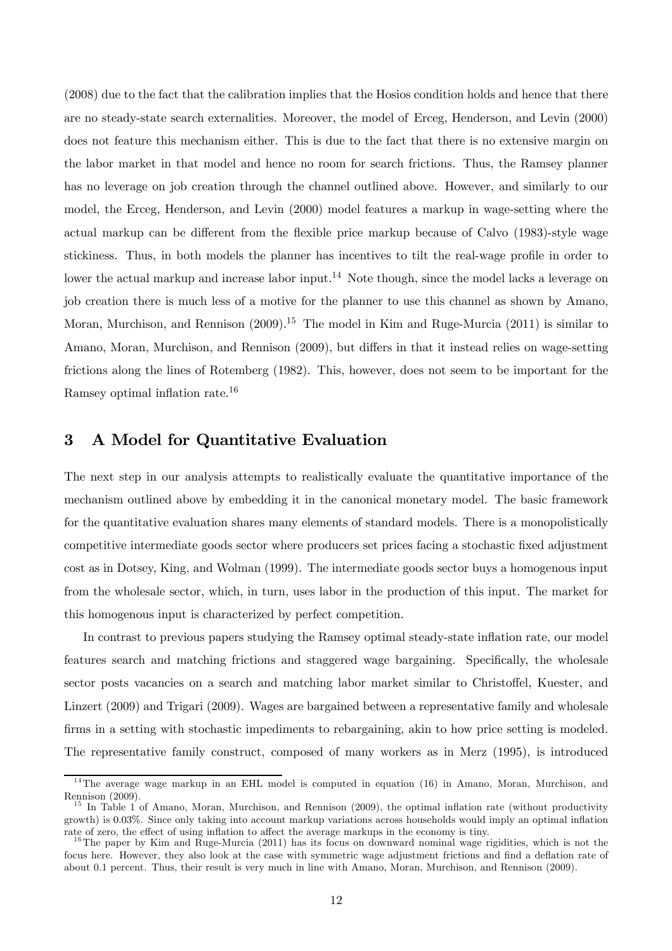(2008) due to the fact that the calibration implies that the Hosios condition holds and hence that there are no steady-state search externalities. Moreover, the model of Erceg, Henderson, and Levin (2000) does not feature this mechanism either. This is due to the fact that there is no extensive margin on the labor market in that model and hence no room for search frictions. Thus, the Ramsey planner has no leverage on job creation through the channel outlined above. However, and similarly to our model, the Erceg, Henderson, and Levin (2000) model features a markup in wage-setting where the actual markup can be different from the flexible price markup because of Calvo (1983)-style wage stickiness. Thus, in both models the planner has incentives to tilt the real-wage profile in order to lower the actual markup and increase labor input.<sup>14</sup> Note though, since the model lacks a leverage on job creation there is much less of a motive for the planner to use this channel as shown by Amano, Moran, Murchison, and Rennison  $(2009).^{15}$  The model in Kim and Ruge-Murcia  $(2011)$  is similar to Amano, Moran, Murchison, and Rennison (2009), but differs in that it instead relies on wage-setting frictions along the lines of Rotemberg (1982). This, however, does not seem to be important for the Ramsey optimal inflation rate.16

## 3 A Model for Quantitative Evaluation

The next step in our analysis attempts to realistically evaluate the quantitative importance of the mechanism outlined above by embedding it in the canonical monetary model. The basic framework for the quantitative evaluation shares many elements of standard models. There is a monopolistically competitive intermediate goods sector where producers set prices facing a stochastic fixed adjustment cost as in Dotsey, King, and Wolman (1999). The intermediate goods sector buys a homogenous input from the wholesale sector, which, in turn, uses labor in the production of this input. The market for this homogenous input is characterized by perfect competition.

In contrast to previous papers studying the Ramsey optimal steady-state inflation rate, our model features search and matching frictions and staggered wage bargaining. Specifically, the wholesale sector posts vacancies on a search and matching labor market similar to Christoffel, Kuester, and Linzert (2009) and Trigari (2009). Wages are bargained between a representative family and wholesale firms in a setting with stochastic impediments to rebargaining, akin to how price setting is modeled. The representative family construct, composed of many workers as in Merz (1995), is introduced

 $14$ The average wage markup in an EHL model is computed in equation (16) in Amano, Moran, Murchison, and Rennison (2009).

<sup>&</sup>lt;sup>15</sup> In Table 1 of Amano, Moran, Murchison, and Rennison (2009), the optimal inflation rate (without productivity growth) is 003%. Since only taking into account markup variations across households would imply an optimal inflation rate of zero, the effect of using inflation to affect the average markups in the economy is tiny.  $16$ The paper by Kim and Ruge-Murcia (2011) has its focus on downward nominal wage rigidities, which is not the

focus here. However, they also look at the case with symmetric wage adjustment frictions and find a deflation rate of about 0.1 percent. Thus, their result is very much in line with Amano, Moran, Murchison, and Rennison (2009).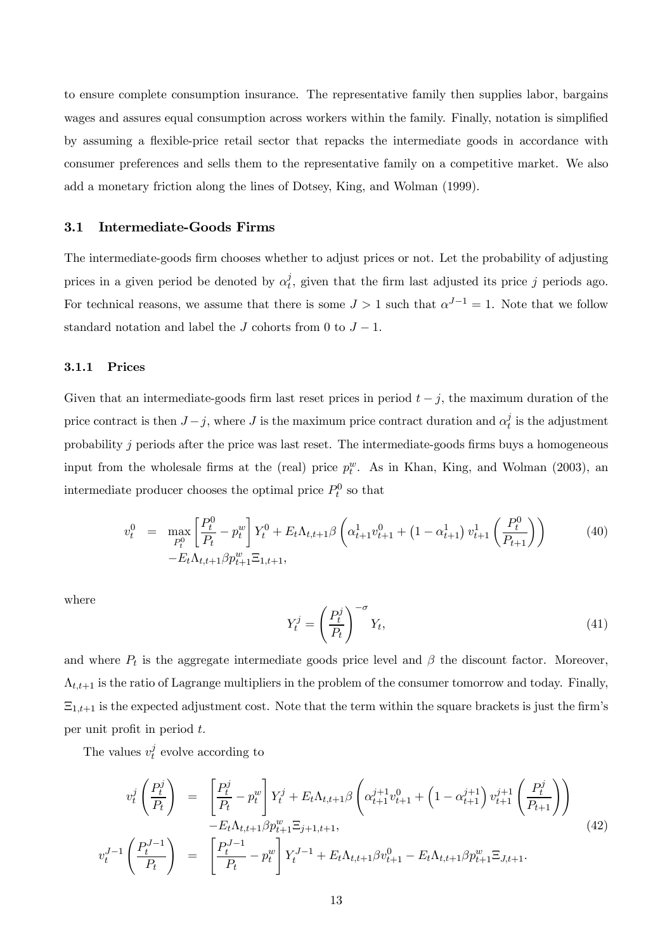to ensure complete consumption insurance. The representative family then supplies labor, bargains wages and assures equal consumption across workers within the family. Finally, notation is simplified by assuming a flexible-price retail sector that repacks the intermediate goods in accordance with consumer preferences and sells them to the representative family on a competitive market. We also add a monetary friction along the lines of Dotsey, King, and Wolman (1999).

#### 3.1 Intermediate-Goods Firms

The intermediate-goods firm chooses whether to adjust prices or not. Let the probability of adjusting prices in a given period be denoted by  $\alpha_t^j$ , given that the firm last adjusted its price j periods ago. For technical reasons, we assume that there is some  $J > 1$  such that  $\alpha^{J-1} = 1$ . Note that we follow standard notation and label the  $J$  cohorts from 0 to  $J - 1$ .

#### 3.1.1 Prices

Given that an intermediate-goods firm last reset prices in period  $t - j$ , the maximum duration of the price contract is then  $J-j$ , where  $J$  is the maximum price contract duration and  $\alpha_t^j$  is the adjustment probability  $j$  periods after the price was last reset. The intermediate-goods firms buys a homogeneous input from the wholesale firms at the (real) price  $p_t^w$ . As in Khan, King, and Wolman (2003), an intermediate producer chooses the optimal price  $P_t^0$  so that

$$
v_t^0 = \max_{P_t^0} \left[ \frac{P_t^0}{P_t} - p_t^w \right] Y_t^0 + E_t \Lambda_{t,t+1} \beta \left( \alpha_{t+1}^1 v_{t+1}^0 + \left( 1 - \alpha_{t+1}^1 \right) v_{t+1}^1 \left( \frac{P_t^0}{P_{t+1}} \right) \right) \tag{40}
$$
  
-
$$
E_t \Lambda_{t,t+1} \beta p_{t+1}^w \Xi_{1,t+1},
$$

where

$$
Y_t^j = \left(\frac{P_t^j}{P_t}\right)^{-\sigma} Y_t,\tag{41}
$$

and where  $P_t$  is the aggregate intermediate goods price level and  $\beta$  the discount factor. Moreover,  $\Lambda_{t,t+1}$  is the ratio of Lagrange multipliers in the problem of the consumer tomorrow and today. Finally,  $\Xi_{1,t+1}$  is the expected adjustment cost. Note that the term within the square brackets is just the firm's per unit profit in period  $t$ .

The values  $v_t^j$  evolve according to

$$
v_t^j \left(\frac{P_t^j}{P_t}\right) = \left[\frac{P_t^j}{P_t} - p_t^w\right] Y_t^j + E_t \Lambda_{t,t+1} \beta \left(\alpha_{t+1}^{j+1} v_{t+1}^0 + \left(1 - \alpha_{t+1}^{j+1}\right) v_{t+1}^{j+1} \left(\frac{P_t^j}{P_{t+1}}\right)\right) - E_t \Lambda_{t,t+1} \beta p_{t+1}^w \Xi_{j+1,t+1},
$$
\n
$$
v_t^{J-1} \left(\frac{P_t^{J-1}}{P_t}\right) = \left[\frac{P_t^{J-1}}{P_t} - p_t^w\right] Y_t^{J-1} + E_t \Lambda_{t,t+1} \beta v_{t+1}^0 - E_t \Lambda_{t,t+1} \beta p_{t+1}^w \Xi_{J,t+1}.
$$
\n(42)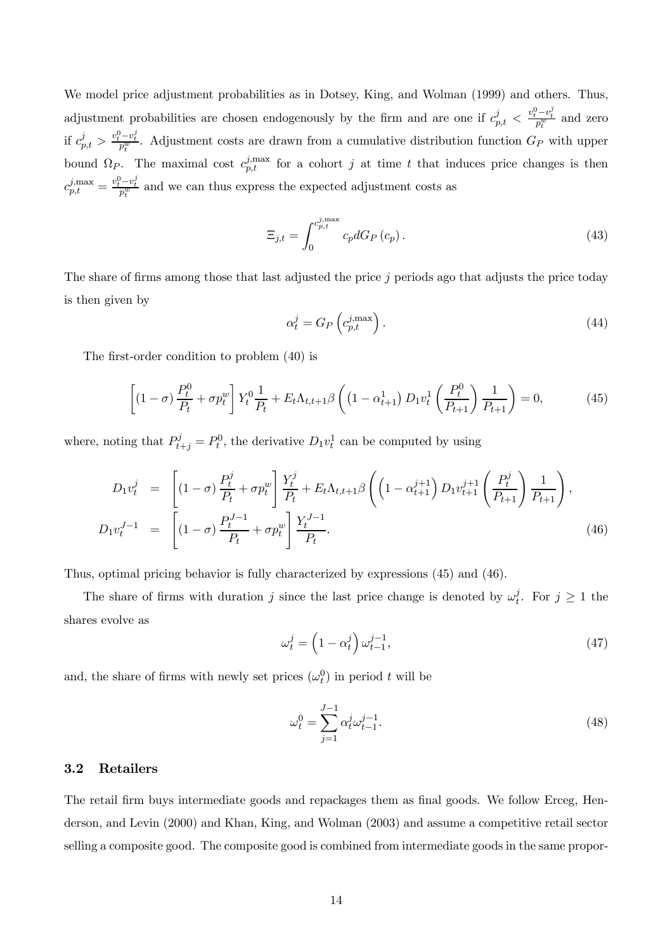We model price adjustment probabilities as in Dotsey, King, and Wolman (1999) and others. Thus, adjustment probabilities are chosen endogenously by the firm and are one if  $c_{p,t}^j < \frac{v_t^0 - v_t^j}{p_t^w}$  and zero if  $c_{p,t}^j > \frac{v_t^0 - v_t^j}{p_t^w}$ . Adjustment costs are drawn from a cumulative distribution function  $G_P$  with upper bound  $\Omega_P$ . The maximal cost  $c_{p,t}^{j, \text{max}}$  for a cohort j at time t that induces price changes is then  $c_{p,t}^{j, \max} = \frac{v_t^0 - v_t^j}{p_t^w}$  and we can thus express the expected adjustment costs as

$$
\Xi_{j,t} = \int_0^{c_{p,t}^{j,\max}} c_p dG_P(c_p). \tag{43}
$$

The share of firms among those that last adjusted the price  $j$  periods ago that adjusts the price today is then given by

$$
\alpha_t^j = G_P \left( c_{p,t}^{j,\max} \right). \tag{44}
$$

The first-order condition to problem (40) is

$$
\left[ (1 - \sigma) \frac{P_t^0}{P_t} + \sigma p_t^w \right] Y_t^0 \frac{1}{P_t} + E_t \Lambda_{t, t+1} \beta \left( (1 - \alpha_{t+1}^1) D_1 v_t^1 \left( \frac{P_t^0}{P_{t+1}} \right) \frac{1}{P_{t+1}} \right) = 0, \tag{45}
$$

where, noting that  $P_{t+j}^j = P_t^0$ , the derivative  $D_1 v_t^1$  can be computed by using

$$
D_1 v_t^j = \left[ (1 - \sigma) \frac{P_t^j}{P_t} + \sigma p_t^w \right] \frac{Y_t^j}{P_t} + E_t \Lambda_{t, t+1} \beta \left( \left( 1 - \alpha_{t+1}^{j+1} \right) D_1 v_{t+1}^{j+1} \left( \frac{P_t^j}{P_{t+1}} \right) \frac{1}{P_{t+1}} \right),
$$
  
\n
$$
D_1 v_t^{J-1} = \left[ (1 - \sigma) \frac{P_t^{J-1}}{P_t} + \sigma p_t^w \right] \frac{Y_t^{J-1}}{P_t}.
$$
\n(46)

Thus, optimal pricing behavior is fully characterized by expressions (45) and (46).

The share of firms with duration j since the last price change is denoted by  $\omega_t^j$ . For  $j \geq 1$  the shares evolve as

$$
\omega_t^j = \left(1 - \alpha_t^j\right) \omega_{t-1}^{j-1},\tag{47}
$$

and, the share of firms with newly set prices  $(\omega_t^0)$  in period t will be

$$
\omega_t^0 = \sum_{j=1}^{J-1} \alpha_t^j \omega_{t-1}^{j-1}.
$$
\n(48)

#### 3.2 Retailers

The retail firm buys intermediate goods and repackages them as final goods. We follow Erceg, Henderson, and Levin (2000) and Khan, King, and Wolman (2003) and assume a competitive retail sector selling a composite good. The composite good is combined from intermediate goods in the same propor-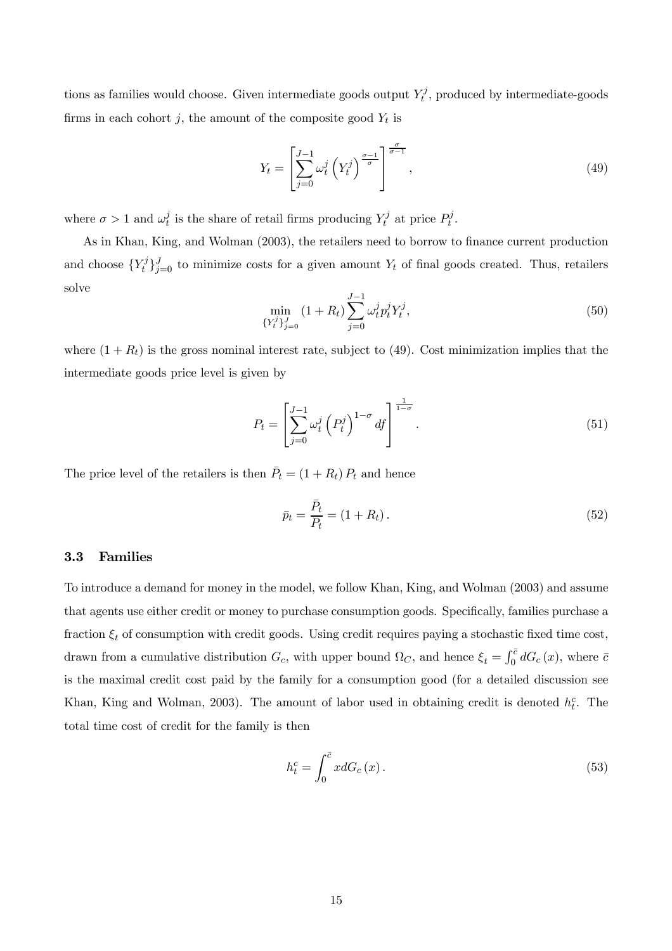tions as families would choose. Given intermediate goods output  $Y_t^j$ , produced by intermediate-goods firms in each cohort j, the amount of the composite good  $Y_t$  is

$$
Y_t = \left[\sum_{j=0}^{J-1} \omega_t^j \left(Y_t^j\right)^{\frac{\sigma-1}{\sigma}}\right]^{\frac{\sigma}{\sigma-1}},\tag{49}
$$

where  $\sigma > 1$  and  $\omega_t^j$  is the share of retail firms producing  $Y_t^j$  at price  $P_t^j$ .

As in Khan, King, and Wolman (2003), the retailers need to borrow to finance current production and choose  ${Y_t^j}_{j=0}^J$  to minimize costs for a given amount  $Y_t$  of final goods created. Thus, retailers solve

$$
\min_{\{Y_t^j\}_{j=0}^J} (1 + R_t) \sum_{j=0}^{J-1} \omega_t^j p_t^j Y_t^j, \tag{50}
$$

where  $(1 + R_t)$  is the gross nominal interest rate, subject to (49). Cost minimization implies that the intermediate goods price level is given by

$$
P_t = \left[\sum_{j=0}^{J-1} \omega_t^j \left(P_t^j\right)^{1-\sigma} df\right]^{\frac{1}{1-\sigma}}.
$$
\n(51)

The price level of the retailers is then  $\bar{P}_t = (1 + R_t) P_t$  and hence

$$
\bar{p}_t = \frac{\bar{P}_t}{P_t} = (1 + R_t). \tag{52}
$$

#### 3.3 Families

To introduce a demand for money in the model, we follow Khan, King, and Wolman (2003) and assume that agents use either credit or money to purchase consumption goods. Specifically, families purchase a fraction  $\xi_t$  of consumption with credit goods. Using credit requires paying a stochastic fixed time cost, drawn from a cumulative distribution  $G_c$ , with upper bound  $\Omega_C$ , and hence  $\xi_t = \int_0^{\bar{c}} dG_c(x)$ , where  $\bar{c}$ is the maximal credit cost paid by the family for a consumption good (for a detailed discussion see Khan, King and Wolman, 2003). The amount of labor used in obtaining credit is denoted  $h_t^c$ . The total time cost of credit for the family is then

$$
h_t^c = \int_0^{\bar{c}} x dG_c(x). \tag{53}
$$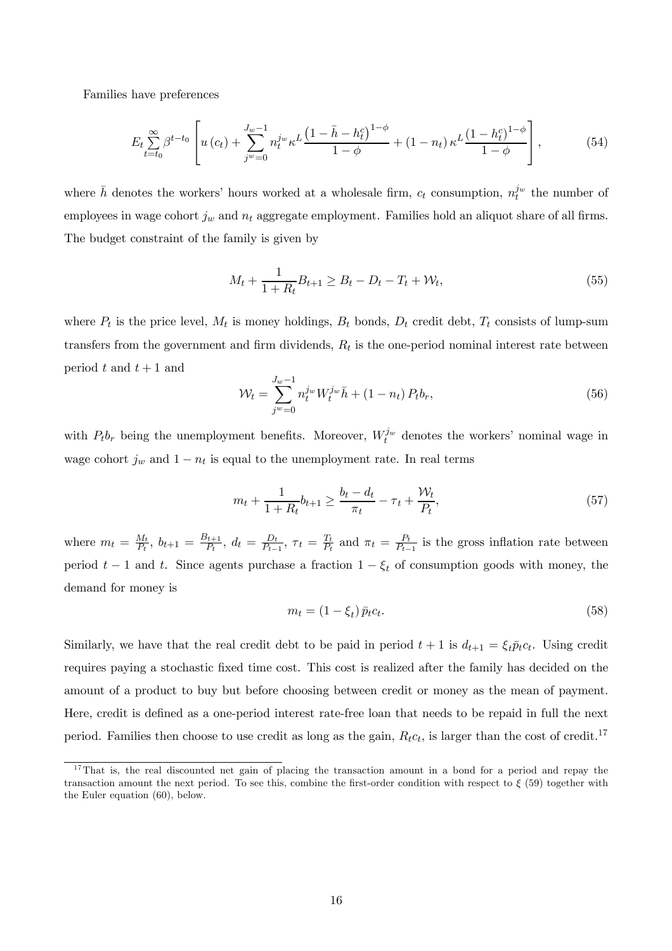Families have preferences

$$
E_{t} \sum_{t=t_0}^{\infty} \beta^{t-t_0} \left[ u(c_t) + \sum_{j^w=0}^{J_w-1} n_t^{j_w} \kappa^L \frac{\left(1 - \bar{h} - h_t^c\right)^{1-\phi}}{1-\phi} + (1 - n_t) \kappa^L \frac{\left(1 - h_t^c\right)^{1-\phi}}{1-\phi} \right],\tag{54}
$$

where  $\bar{h}$  denotes the workers' hours worked at a wholesale firm,  $c_t$  consumption,  $n_t^{j_w}$  the number of employees in wage cohort  $j_w$  and  $n_t$  aggregate employment. Families hold an aliquot share of all firms. The budget constraint of the family is given by

$$
M_t + \frac{1}{1 + R_t} B_{t+1} \ge B_t - D_t - T_t + \mathcal{W}_t,
$$
\n(55)

where  $P_t$  is the price level,  $M_t$  is money holdings,  $B_t$  bonds,  $D_t$  credit debt,  $T_t$  consists of lump-sum transfers from the government and firm dividends,  $R_t$  is the one-period nominal interest rate between period  $t$  and  $t + 1$  and

$$
\mathcal{W}_t = \sum_{j^w=0}^{J_w-1} n_t^{j_w} W_t^{j_w} \bar{h} + (1 - n_t) P_t b_r,\tag{56}
$$

with  $P_t b_r$  being the unemployment benefits. Moreover,  $W_t^{j_w}$  denotes the workers' nominal wage in wage cohort  $j_w$  and  $1 - n_t$  is equal to the unemployment rate. In real terms

$$
m_t + \frac{1}{1 + R_t} b_{t+1} \ge \frac{b_t - d_t}{\pi_t} - \tau_t + \frac{\mathcal{W}_t}{P_t},
$$
\n(57)

where  $m_t = \frac{M_t}{P_t}$ ,  $b_{t+1} = \frac{B_{t+1}}{P_t}$ ,  $d_t = \frac{D_t}{P_{t-1}}$ ,  $\tau_t = \frac{T_t}{P_t}$  and  $\pi_t = \frac{P_t}{P_{t-1}}$  is the gross inflation rate between period  $t-1$  and  $t$ . Since agents purchase a fraction  $1-\xi_t$  of consumption goods with money, the demand for money is

$$
m_t = (1 - \xi_t) \bar{p}_t c_t. \tag{58}
$$

Similarly, we have that the real credit debt to be paid in period  $t + 1$  is  $d_{t+1} = \xi_t \bar{p}_t c_t$ . Using credit requires paying a stochastic fixed time cost. This cost is realized after the family has decided on the amount of a product to buy but before choosing between credit or money as the mean of payment. Here, credit is defined as a one-period interest rate-free loan that needs to be repaid in full the next period. Families then choose to use credit as long as the gain,  $R_t c_t$ , is larger than the cost of credit.<sup>17</sup>

<sup>&</sup>lt;sup>17</sup>That is, the real discounted net gain of placing the transaction amount in a bond for a period and repay the transaction amount the next period. To see this, combine the first-order condition with respect to  $\xi$  (59) together with the Euler equation (60), below.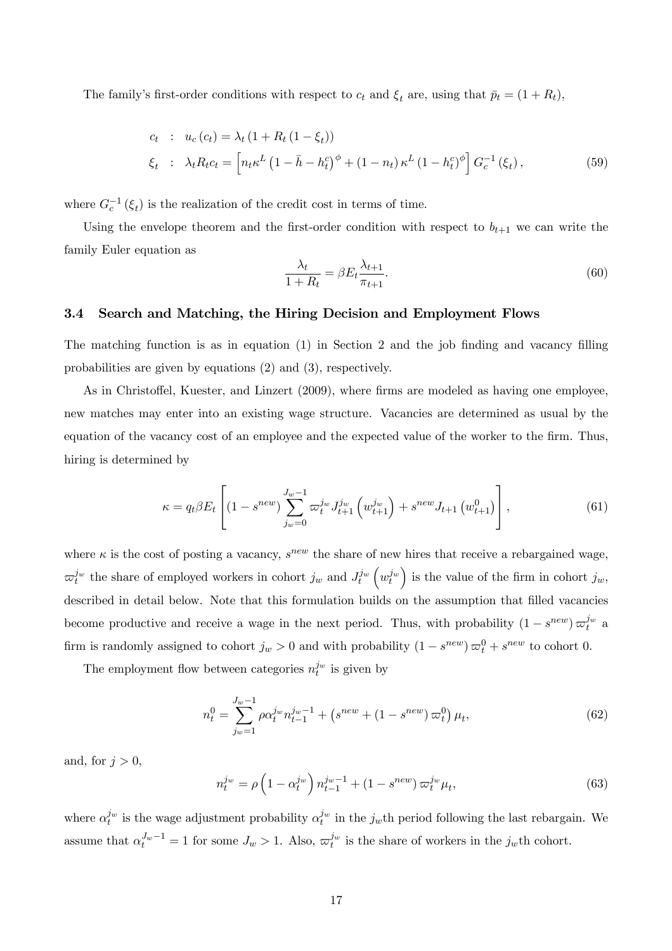The family's first-order conditions with respect to  $c_t$  and  $\xi_t$  are, using that  $\bar{p}_t = (1 + R_t)$ ,

$$
c_t : u_c(c_t) = \lambda_t (1 + R_t (1 - \xi_t))
$$
  

$$
\xi_t : \lambda_t R_t c_t = \left[ n_t \kappa^L (1 - \bar{h} - h_t^c)^{\phi} + (1 - n_t) \kappa^L (1 - h_t^c)^{\phi} \right] G_c^{-1} (\xi_t),
$$
 (59)

where  $G_c^{-1}(\xi_t)$  is the realization of the credit cost in terms of time.

Using the envelope theorem and the first-order condition with respect to  $b_{t+1}$  we can write the family Euler equation as

$$
\frac{\lambda_t}{1 + R_t} = \beta E_t \frac{\lambda_{t+1}}{\pi_{t+1}}.\tag{60}
$$

#### 3.4 Search and Matching, the Hiring Decision and Employment Flows

The matching function is as in equation (1) in Section 2 and the job finding and vacancy filling probabilities are given by equations (2) and (3), respectively.

As in Christoffel, Kuester, and Linzert (2009), where firms are modeled as having one employee, new matches may enter into an existing wage structure. Vacancies are determined as usual by the equation of the vacancy cost of an employee and the expected value of the worker to the firm. Thus, hiring is determined by

$$
\kappa = q_t \beta E_t \left[ (1 - s^{new}) \sum_{j_w=0}^{J_w-1} \varpi_t^{j_w} J_{t+1}^{j_w} \left( w_{t+1}^{j_w} \right) + s^{new} J_{t+1} \left( w_{t+1}^0 \right) \right],\tag{61}
$$

where  $\kappa$  is the cost of posting a vacancy,  $s^{new}$  the share of new hires that receive a rebargained wage,  $\varpi_t^{j_w}$  the share of employed workers in cohort  $j_w$  and  $J_t^{j_w}$  $\left(w_t^{j_w}\right)$ ) is the value of the firm in cohort  $j_w$ , described in detail below. Note that this formulation builds on the assumption that filled vacancies become productive and receive a wage in the next period. Thus, with probability  $(1 - s^{new}) \varpi_t^{j_w}$  a firm is randomly assigned to cohort  $j_w > 0$  and with probability  $(1 - s^{new}) \varpi_t^0 + s^{new}$  to cohort 0.

The employment flow between categories  $n_t^{j_w}$  is given by

$$
n_t^0 = \sum_{j_w=1}^{J_w-1} \rho \alpha_t^{j_w} n_{t-1}^{j_w-1} + \left(s^{new} + (1 - s^{new}) \,\varpi_t^0\right) \mu_t,\tag{62}
$$

and, for  $j > 0$ ,

$$
n_t^{j_w} = \rho \left( 1 - \alpha_t^{j_w} \right) n_{t-1}^{j_w - 1} + (1 - s^{new}) \varpi_t^{j_w} \mu_t,
$$
\n(63)

where  $\alpha_t^{j_w}$  is the wage adjustment probability  $\alpha_t^{j_w}$  in the  $j_w$ th period following the last rebargain. We assume that  $\alpha_t^{J_w-1} = 1$  for some  $J_w > 1$ . Also,  $\varpi_t^{j_w}$  is the share of workers in the  $j_w$ th cohort.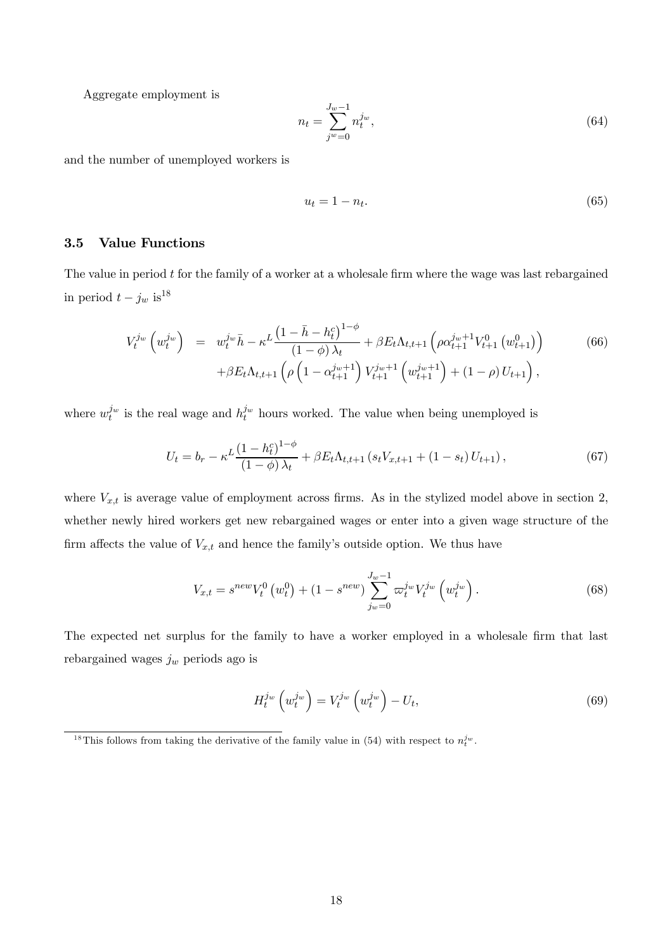Aggregate employment is

$$
n_t = \sum_{j^w=0}^{J_w-1} n_t^{j_w},\tag{64}
$$

and the number of unemployed workers is

$$
u_t = 1 - n_t. \tag{65}
$$

#### 3.5 Value Functions

The value in period  $t$  for the family of a worker at a wholesale firm where the wage was last rebargained in period  $t - j_w$  is<sup>18</sup>

$$
V_t^{j_w} \left( w_t^{j_w} \right) = w_t^{j_w} \bar{h} - \kappa^L \frac{\left( 1 - \bar{h} - h_t^c \right)^{1 - \phi}}{\left( 1 - \phi \right) \lambda_t} + \beta E_t \Lambda_{t, t+1} \left( \rho \alpha_{t+1}^{j_w + 1} V_{t+1}^0 \left( w_{t+1}^0 \right) \right) \tag{66}
$$

$$
+ \beta E_t \Lambda_{t, t+1} \left( \rho \left( 1 - \alpha_{t+1}^{j_w + 1} \right) V_{t+1}^{j_w + 1} \left( w_{t+1}^{j_w + 1} \right) + (1 - \rho) U_{t+1} \right),
$$

where  $w_t^{j_w}$  is the real wage and  $h_t^{j_w}$  hours worked. The value when being unemployed is

$$
U_t = b_r - \kappa^L \frac{\left(1 - h_t^c\right)^{1 - \phi}}{\left(1 - \phi\right) \lambda_t} + \beta E_t \Lambda_{t, t+1} \left(s_t V_{x, t+1} + \left(1 - s_t\right) U_{t+1}\right),\tag{67}
$$

where  $V_{x,t}$  is average value of employment across firms. As in the stylized model above in section 2, whether newly hired workers get new rebargained wages or enter into a given wage structure of the firm affects the value of  $V_{x,t}$  and hence the family's outside option. We thus have

$$
V_{x,t} = s^{new} V_t^0 \left( w_t^0 \right) + (1 - s^{new}) \sum_{j_w=0}^{J_w-1} \varpi_t^{j_w} V_t^{j_w} \left( w_t^{j_w} \right). \tag{68}
$$

The expected net surplus for the family to have a worker employed in a wholesale firm that last rebargained wages  $j_w$  periods ago is

$$
H_t^{j_w}\left(w_t^{j_w}\right) = V_t^{j_w}\left(w_t^{j_w}\right) - U_t,\tag{69}
$$

<sup>&</sup>lt;sup>18</sup>This follows from taking the derivative of the family value in (54) with respect to  $n_t^{j_w}$ .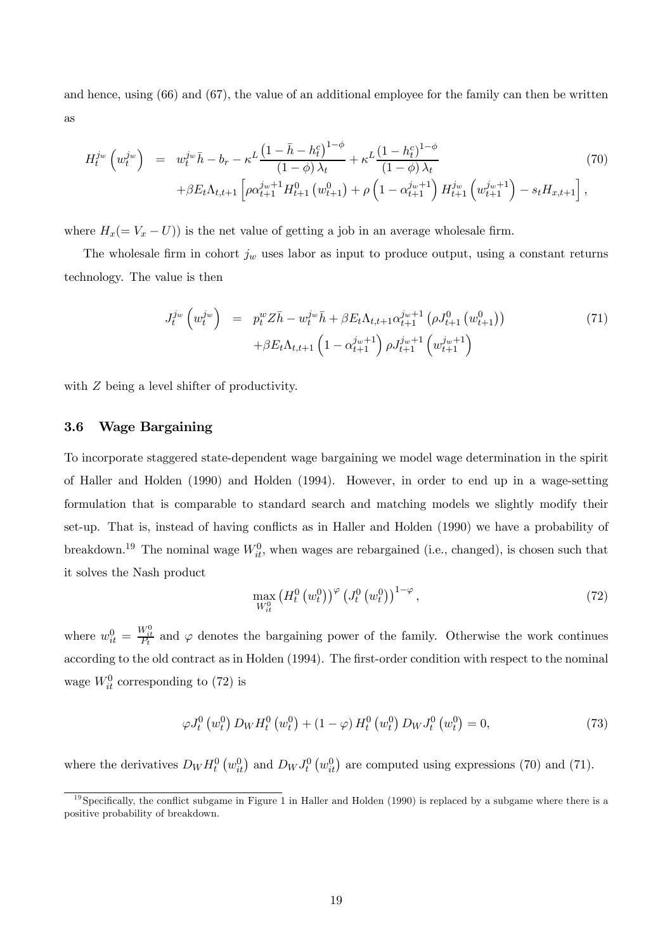and hence, using (66) and (67), the value of an additional employee for the family can then be written as

$$
H_t^{j_w} \left( w_t^{j_w} \right) = w_t^{j_w} \bar{h} - b_r - \kappa^L \frac{\left( 1 - \bar{h} - h_t^c \right)^{1 - \phi}}{\left( 1 - \phi \right) \lambda_t} + \kappa^L \frac{\left( 1 - h_t^c \right)^{1 - \phi}}{\left( 1 - \phi \right) \lambda_t} + \beta E_t \Lambda_{t, t+1} \left[ \rho \alpha_{t+1}^{j_w+1} H_{t+1}^0 \left( w_{t+1}^0 \right) + \rho \left( 1 - \alpha_{t+1}^{j_w+1} \right) H_{t+1}^{j_w} \left( w_{t+1}^{j_w+1} \right) - s_t H_{x, t+1} \right], \tag{70}
$$

where  $H_x(= V_x - U)$ ) is the net value of getting a job in an average wholesale firm.

The wholesale firm in cohort  $j_w$  uses labor as input to produce output, using a constant returns technology. The value is then

$$
J_t^{j_w} \left( w_t^{j_w} \right) = p_t^w Z \bar{h} - w_t^{j_w} \bar{h} + \beta E_t \Lambda_{t,t+1} \alpha_{t+1}^{j_w+1} \left( \rho J_{t+1}^0 \left( w_{t+1}^0 \right) \right) + \beta E_t \Lambda_{t,t+1} \left( 1 - \alpha_{t+1}^{j_w+1} \right) \rho J_{t+1}^{j_w+1} \left( w_{t+1}^{j_w+1} \right)
$$
(71)

with  $Z$  being a level shifter of productivity.

#### 3.6 Wage Bargaining

To incorporate staggered state-dependent wage bargaining we model wage determination in the spirit of Haller and Holden (1990) and Holden (1994). However, in order to end up in a wage-setting formulation that is comparable to standard search and matching models we slightly modify their set-up. That is, instead of having conflicts as in Haller and Holden (1990) we have a probability of breakdown.<sup>19</sup> The nominal wage  $W_{it}^0$ , when wages are rebargained (i.e., changed), is chosen such that it solves the Nash product

$$
\max_{W_{it}^0} \left( H_t^0 \left( w_t^0 \right) \right)^\varphi \left( J_t^0 \left( w_t^0 \right) \right)^{1-\varphi},\tag{72}
$$

where  $w_{it}^0 = \frac{W_{it}^0}{P_t}$  and  $\varphi$  denotes the bargaining power of the family. Otherwise the work continues according to the old contract as in Holden (1994). The first-order condition with respect to the nominal wage  $W_{it}^0$  corresponding to (72) is

$$
\varphi J_t^0(w_t^0) D_W H_t^0(w_t^0) + (1 - \varphi) H_t^0(w_t^0) D_W J_t^0(w_t^0) = 0,
$$
\n(73)

where the derivatives  $D_W H_t^0(w_{it}^0)$  and  $D_W J_t^0(w_{it}^0)$  are computed using expressions (70) and (71).

 $19$  Specifically, the conflict subgame in Figure 1 in Haller and Holden (1990) is replaced by a subgame where there is a positive probability of breakdown.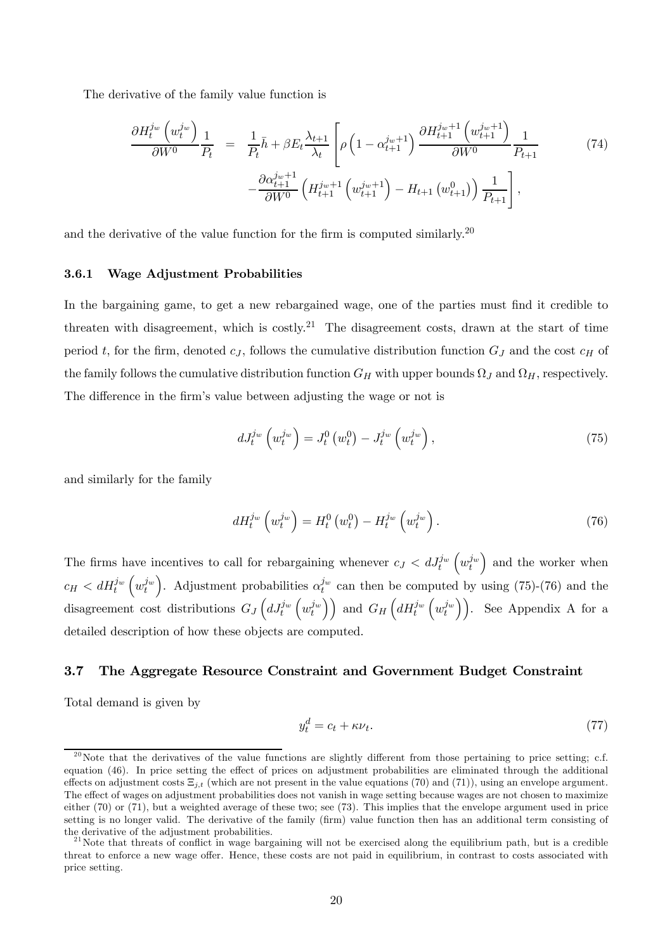The derivative of the family value function is

$$
\frac{\partial H_t^{j_w} \left( w_t^{j_w} \right)}{\partial W^0} \frac{1}{P_t} = \frac{1}{P_t} \bar{h} + \beta E_t \frac{\lambda_{t+1}}{\lambda_t} \left[ \rho \left( 1 - \alpha_{t+1}^{j_w+1} \right) \frac{\partial H_{t+1}^{j_w+1} \left( w_{t+1}^{j_w+1} \right)}{\partial W^0} \frac{1}{P_{t+1}} - \frac{\partial \alpha_{t+1}^{j_w+1}}{\partial W^0} \left( H_{t+1}^{j_w+1} \left( w_{t+1}^{j_w+1} \right) - H_{t+1} \left( w_{t+1}^0 \right) \right) \frac{1}{P_{t+1}} \right],
$$
\n(74)

and the derivative of the value function for the firm is computed similarly.<sup>20</sup>

#### 3.6.1 Wage Adjustment Probabilities

In the bargaining game, to get a new rebargained wage, one of the parties must find it credible to threaten with disagreement, which is costly.<sup>21</sup> The disagreement costs, drawn at the start of time period t, for the firm, denoted  $c_j$ , follows the cumulative distribution function  $G_j$  and the cost  $c_H$  of the family follows the cumulative distribution function  $G_H$  with upper bounds  $\Omega_J$  and  $\Omega_H$ , respectively. The difference in the firm's value between adjusting the wage or not is

$$
dJ_t^{j_w}\left(w_t^{j_w}\right) = J_t^0\left(w_t^0\right) - J_t^{j_w}\left(w_t^{j_w}\right),\tag{75}
$$

and similarly for the family

$$
dH_t^{j_w}\left(w_t^{j_w}\right) = H_t^0\left(w_t^0\right) - H_t^{j_w}\left(w_t^{j_w}\right). \tag{76}
$$

The firms have incentives to call for rebargaining whenever  $c_J < dJ_t^{j_w}$  $\left(w_t^{j_w}\right)$ ) and the worker when  $c_H < dH_t^{j_w}$  $\left(w_t^{j_w}\right)$ ). Adjustment probabilities  $\alpha_t^{j_w}$  can then be computed by using (75)-(76) and the disagreement cost distributions  $G_J \left( dJ_t^{j_w} \right)$  $\left(w_t^{j_w}\right)\right)$  and  $G_H\left(dH_t^{j_w}\right)$  $(w_t^{j_w})$ ). See Appendix A for a detailed description of how these objects are computed.

#### 3.7 The Aggregate Resource Constraint and Government Budget Constraint

Total demand is given by

$$
y_t^d = c_t + \kappa \nu_t. \tag{77}
$$

<sup>&</sup>lt;sup>20</sup>Note that the derivatives of the value functions are slightly different from those pertaining to price setting; c.f. equation (46). In price setting the effect of prices on adjustment probabilities are eliminated through the additional effects on adjustment costs  $\Xi_{i,t}$  (which are not present in the value equations (70) and (71)), using an envelope argument. The effect of wages on adjustment probabilities does not vanish in wage setting because wages are not chosen to maximize either (70) or (71), but a weighted average of these two; see (73). This implies that the envelope argument used in price setting is no longer valid. The derivative of the family (firm) value function then has an additional term consisting of the derivative of the adjustment probabilities.<br><sup>21</sup>Note that threats of conflict in wage bargaining will not be exercised along the equilibrium path, but is a credible

threat to enforce a new wage offer. Hence, these costs are not paid in equilibrium, in contrast to costs associated with price setting.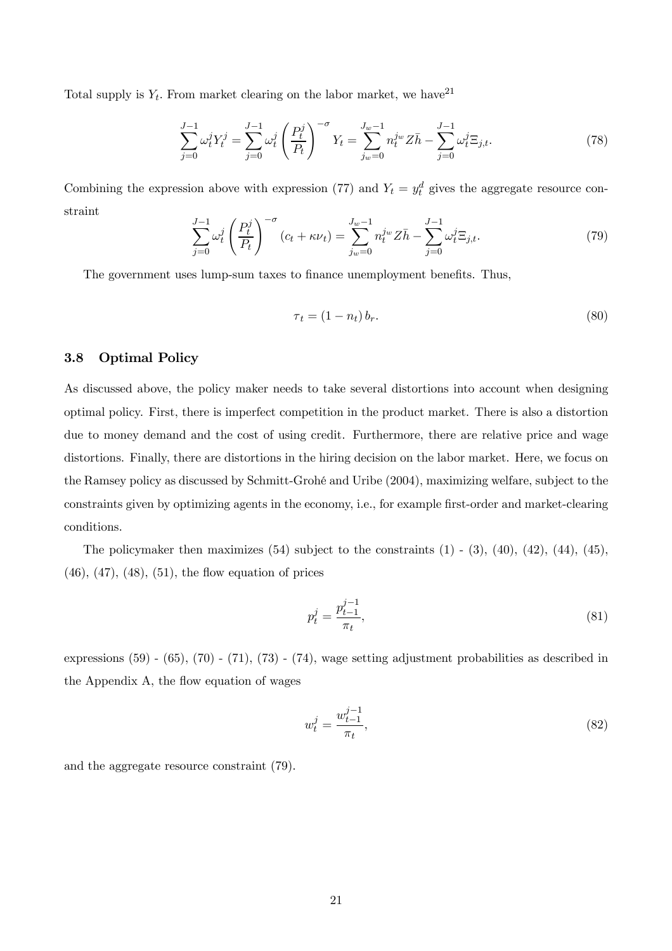Total supply is  $Y_t$ . From market clearing on the labor market, we have <sup>21</sup>

$$
\sum_{j=0}^{J-1} \omega_t^j Y_t^j = \sum_{j=0}^{J-1} \omega_t^j \left(\frac{P_t^j}{P_t}\right)^{-\sigma} Y_t = \sum_{j_w=0}^{J_w-1} n_t^{j_w} Z\bar{h} - \sum_{j=0}^{J-1} \omega_t^j \Xi_{j,t}.
$$
 (78)

Combining the expression above with expression (77) and  $Y_t = y_t^d$  gives the aggregate resource constraint

$$
\sum_{j=0}^{J-1} \omega_t^j \left(\frac{P_t^j}{P_t}\right)^{-\sigma} (c_t + \kappa \nu_t) = \sum_{j_w=0}^{J_w-1} n_t^{j_w} Z\bar{h} - \sum_{j=0}^{J-1} \omega_t^j \Xi_{j,t}.
$$
 (79)

The government uses lump-sum taxes to finance unemployment benefits. Thus,

$$
\tau_t = (1 - n_t) b_r. \tag{80}
$$

#### 3.8 Optimal Policy

As discussed above, the policy maker needs to take several distortions into account when designing optimal policy. First, there is imperfect competition in the product market. There is also a distortion due to money demand and the cost of using credit. Furthermore, there are relative price and wage distortions. Finally, there are distortions in the hiring decision on the labor market. Here, we focus on the Ramsey policy as discussed by Schmitt-Grohé and Uribe (2004), maximizing welfare, subject to the constraints given by optimizing agents in the economy, i.e., for example first-order and market-clearing conditions.

The policymaker then maximizes  $(54)$  subject to the constraints  $(1)$  -  $(3)$ ,  $(40)$ ,  $(42)$ ,  $(44)$ ,  $(45)$ ,  $(46)$ ,  $(47)$ ,  $(48)$ ,  $(51)$ , the flow equation of prices

$$
p_t^j = \frac{p_{t-1}^{j-1}}{\pi_t},\tag{81}
$$

expressions (59) - (65), (70) - (71), (73) - (74), wage setting adjustment probabilities as described in the Appendix A, the flow equation of wages

$$
w_t^j = \frac{w_{t-1}^{j-1}}{\pi_t},\tag{82}
$$

and the aggregate resource constraint (79).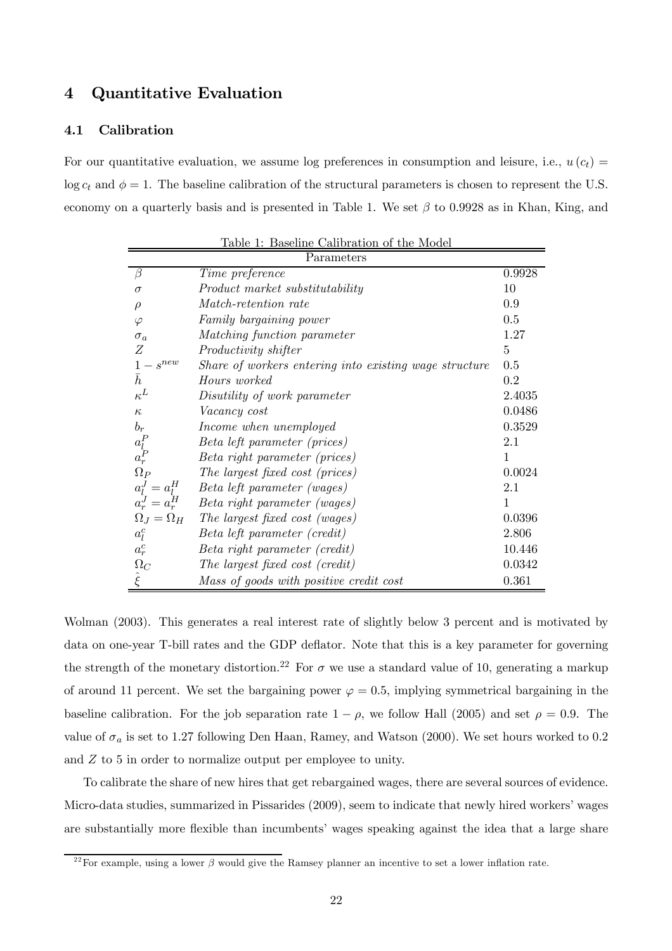## 4 Quantitative Evaluation

#### 4.1 Calibration

For our quantitative evaluation, we assume log preferences in consumption and leisure, i.e.,  $u(c_t)$  $\log c_t$  and  $\phi = 1$ . The baseline calibration of the structural parameters is chosen to represent the U.S. economy on a quarterly basis and is presented in Table 1. We set  $\beta$  to 0.9928 as in Khan, King, and

| Table 1: Baseline Calibration of the Model |                                                        |                |  |  |  |
|--------------------------------------------|--------------------------------------------------------|----------------|--|--|--|
|                                            | Parameters                                             |                |  |  |  |
| β                                          | Time preference                                        | 0.9928         |  |  |  |
| $\sigma$                                   | Product market substitutability                        | 10             |  |  |  |
| $\rho$                                     | <i>Match-retention rate</i>                            | 0.9            |  |  |  |
| $\varphi$                                  | Family bargaining power                                | 0.5            |  |  |  |
| $\sigma_a$                                 | Matching function parameter                            | 1.27           |  |  |  |
| Ζ                                          | Productivity shifter                                   | $\overline{5}$ |  |  |  |
| $1-s^{new}$                                | Share of workers entering into existing wage structure | 0.5            |  |  |  |
| $\bar{h}$                                  | Hours worked                                           | 0.2            |  |  |  |
| $\kappa^L$                                 | Disutility of work parameter                           | 2.4035         |  |  |  |
| $\kappa$                                   | <i>Vacancy cost</i>                                    | 0.0486         |  |  |  |
| $b_r$                                      | Income when unemployed                                 | 0.3529         |  |  |  |
| $a_P^P$                                    | Beta left parameter (prices)                           | 2.1            |  |  |  |
|                                            | Beta right parameter (prices)                          | 1              |  |  |  |
| $\Omega_P$                                 | The largest fixed cost (prices)                        | 0.0024         |  |  |  |
| $a_l^J = a_l^H$                            | Beta left parameter (wages)                            | $2.1\,$        |  |  |  |
| $a_r^J = a_r^H$                            | Beta right parameter (wages)                           | 1              |  |  |  |
| $\Omega_J = \Omega_H$                      | The largest fixed cost (wages)                         | 0.0396         |  |  |  |
| $a_l^c$                                    | Beta left parameter (credit)                           | 2.806          |  |  |  |
| $a_r^c$                                    | Beta right parameter (credit)                          | 10.446         |  |  |  |
| $\Omega_C$                                 | The largest fixed cost (credit)                        | 0.0342         |  |  |  |
| $\hat{\xi}$                                | Mass of goods with positive credit cost                | 0.361          |  |  |  |

Wolman (2003). This generates a real interest rate of slightly below 3 percent and is motivated by data on one-year T-bill rates and the GDP deflator. Note that this is a key parameter for governing the strength of the monetary distortion.<sup>22</sup> For  $\sigma$  we use a standard value of 10, generating a markup of around 11 percent. We set the bargaining power  $\varphi = 0.5$ , implying symmetrical bargaining in the baseline calibration. For the job separation rate  $1 - \rho$ , we follow Hall (2005) and set  $\rho = 0.9$ . The value of  $\sigma_a$  is set to 1.27 following Den Haan, Ramey, and Watson (2000). We set hours worked to 0.2 and  $Z$  to 5 in order to normalize output per employee to unity.

To calibrate the share of new hires that get rebargained wages, there are several sources of evidence. Micro-data studies, summarized in Pissarides (2009), seem to indicate that newly hired workers' wages are substantially more flexible than incumbents' wages speaking against the idea that a large share

<sup>&</sup>lt;sup>22</sup> For example, using a lower  $\beta$  would give the Ramsey planner an incentive to set a lower inflation rate.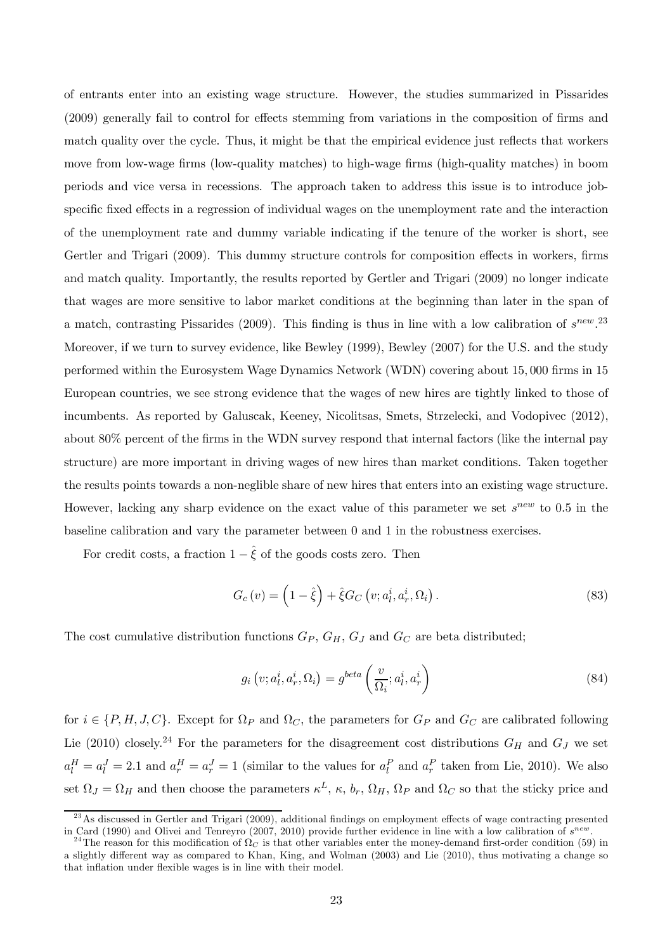of entrants enter into an existing wage structure. However, the studies summarized in Pissarides (2009) generally fail to control for effects stemming from variations in the composition of firms and match quality over the cycle. Thus, it might be that the empirical evidence just reflects that workers move from low-wage firms (low-quality matches) to high-wage firms (high-quality matches) in boom periods and vice versa in recessions. The approach taken to address this issue is to introduce jobspecific fixed effects in a regression of individual wages on the unemployment rate and the interaction of the unemployment rate and dummy variable indicating if the tenure of the worker is short, see Gertler and Trigari (2009). This dummy structure controls for composition effects in workers, firms and match quality. Importantly, the results reported by Gertler and Trigari (2009) no longer indicate that wages are more sensitive to labor market conditions at the beginning than later in the span of a match, contrasting Pissarides (2009). This finding is thus in line with a low calibration of  $s^{new}$ . Moreover, if we turn to survey evidence, like Bewley (1999), Bewley (2007) for the U.S. and the study performed within the Eurosystem Wage Dynamics Network (WDN) covering about 15 000 firms in 15 European countries, we see strong evidence that the wages of new hires are tightly linked to those of incumbents. As reported by Galuscak, Keeney, Nicolitsas, Smets, Strzelecki, and Vodopivec (2012), about 80% percent of the firms in the WDN survey respond that internal factors (like the internal pay structure) are more important in driving wages of new hires than market conditions. Taken together the results points towards a non-neglible share of new hires that enters into an existing wage structure. However, lacking any sharp evidence on the exact value of this parameter we set  $s^{new}$  to 0.5 in the baseline calibration and vary the parameter between 0 and 1 in the robustness exercises.

For credit costs, a fraction  $1 - \hat{\xi}$  of the goods costs zero. Then

$$
G_c(v) = \left(1 - \hat{\xi}\right) + \hat{\xi} G_C\left(v; a_l^i, a_r^i, \Omega_i\right). \tag{83}
$$

The cost cumulative distribution functions  $G_P$ ,  $G_H$ ,  $G_J$  and  $G_C$  are beta distributed;

$$
g_i\left(v; a_l^i, a_r^i, \Omega_i\right) = g^{beta}\left(\frac{v}{\Omega_i}; a_l^i, a_r^i\right) \tag{84}
$$

for  $i \in \{P, H, J, C\}$ . Except for  $\Omega_P$  and  $\Omega_C$ , the parameters for  $G_P$  and  $G_C$  are calibrated following Lie (2010) closely.<sup>24</sup> For the parameters for the disagreement cost distributions  $G_H$  and  $G_J$  we set  $a_l^H = a_l^J = 2.1$  and  $a_r^H = a_r^J = 1$  (similar to the values for  $a_l^P$  and  $a_r^P$  taken from Lie, 2010). We also set  $\Omega_J = \Omega_H$  and then choose the parameters  $\kappa^L$ ,  $\kappa$ ,  $b_r$ ,  $\Omega_H$ ,  $\Omega_P$  and  $\Omega_C$  so that the sticky price and

 $^{23}$ As discussed in Gertler and Trigari (2009), additional findings on employment effects of wage contracting presented in Card (1990) and Olivei and Tenreyro (2007, 2010) provide further evidence in line with a low calibration of  $s^{new}$ .<br><sup>24</sup>The reason for this modification of  $\Omega_C$  is that other variables enter the money-demand first-ord

a slightly different way as compared to Khan, King, and Wolman (2003) and Lie (2010), thus motivating a change so that inflation under flexible wages is in line with their model.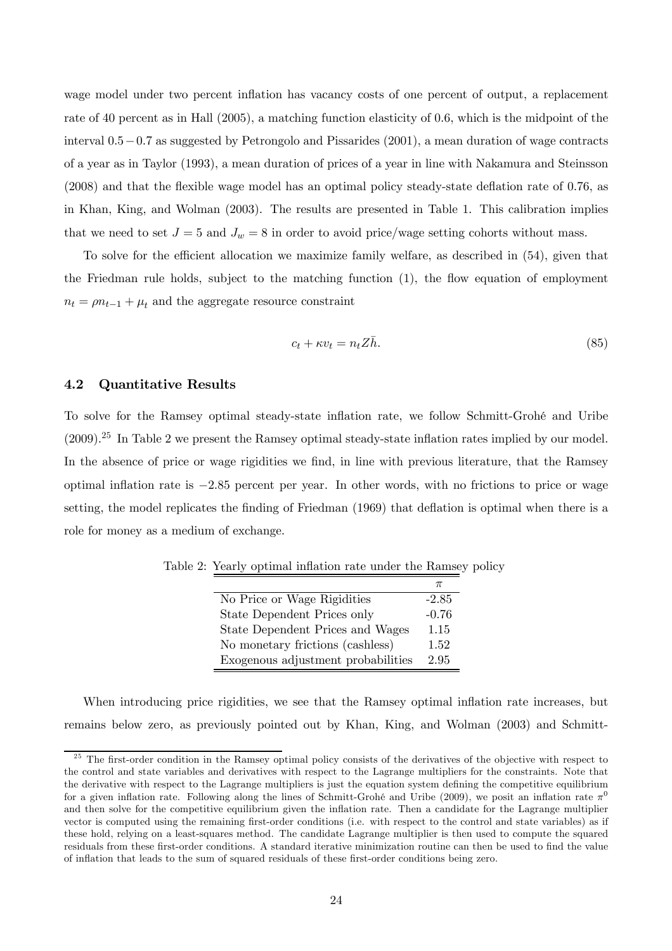wage model under two percent inflation has vacancy costs of one percent of output, a replacement rate of 40 percent as in Hall (2005), a matching function elasticity of 06, which is the midpoint of the interval 05−07 as suggested by Petrongolo and Pissarides (2001), a mean duration of wage contracts of a year as in Taylor (1993), a mean duration of prices of a year in line with Nakamura and Steinsson (2008) and that the flexible wage model has an optimal policy steady-state deflation rate of 076, as in Khan, King, and Wolman (2003). The results are presented in Table 1. This calibration implies that we need to set  $J = 5$  and  $J_w = 8$  in order to avoid price/wage setting cohorts without mass.

To solve for the efficient allocation we maximize family welfare, as described in (54), given that the Friedman rule holds, subject to the matching function (1), the flow equation of employment  $n_t = \rho n_{t-1} + \mu_t$  and the aggregate resource constraint

$$
c_t + \kappa v_t = n_t Z \bar{h}.\tag{85}
$$

#### 4.2 Quantitative Results

To solve for the Ramsey optimal steady-state inflation rate, we follow Schmitt-Grohé and Uribe (2009).25 In Table 2 we present the Ramsey optimal steady-state inflation rates implied by our model. In the absence of price or wage rigidities we find, in line with previous literature, that the Ramsey optimal inflation rate is −285 percent per year. In other words, with no frictions to price or wage setting, the model replicates the finding of Friedman (1969) that deflation is optimal when there is a role for money as a medium of exchange.

| No Price or Wage Rigidities        | $-2.85$ |
|------------------------------------|---------|
| State Dependent Prices only        | $-0.76$ |
| State Dependent Prices and Wages   | 1.15    |
| No monetary frictions (cashless)   | 1.52    |
| Exogenous adjustment probabilities | 2.95    |

Table 2: Yearly optimal inflation rate under the Ramsey policy

When introducing price rigidities, we see that the Ramsey optimal inflation rate increases, but remains below zero, as previously pointed out by Khan, King, and Wolman (2003) and Schmitt-

 $25$  The first-order condition in the Ramsey optimal policy consists of the derivatives of the objective with respect to the control and state variables and derivatives with respect to the Lagrange multipliers for the constraints. Note that the derivative with respect to the Lagrange multipliers is just the equation system defining the competitive equilibrium for a given inflation rate. Following along the lines of Schmitt-Grohé and Uribe (2009), we posit an inflation rate  $\pi^0$ and then solve for the competitive equilibrium given the inflation rate. Then a candidate for the Lagrange multiplier vector is computed using the remaining first-order conditions (i.e. with respect to the control and state variables) as if these hold, relying on a least-squares method. The candidate Lagrange multiplier is then used to compute the squared residuals from these first-order conditions. A standard iterative minimization routine can then be used to find the value of inflation that leads to the sum of squared residuals of these first-order conditions being zero.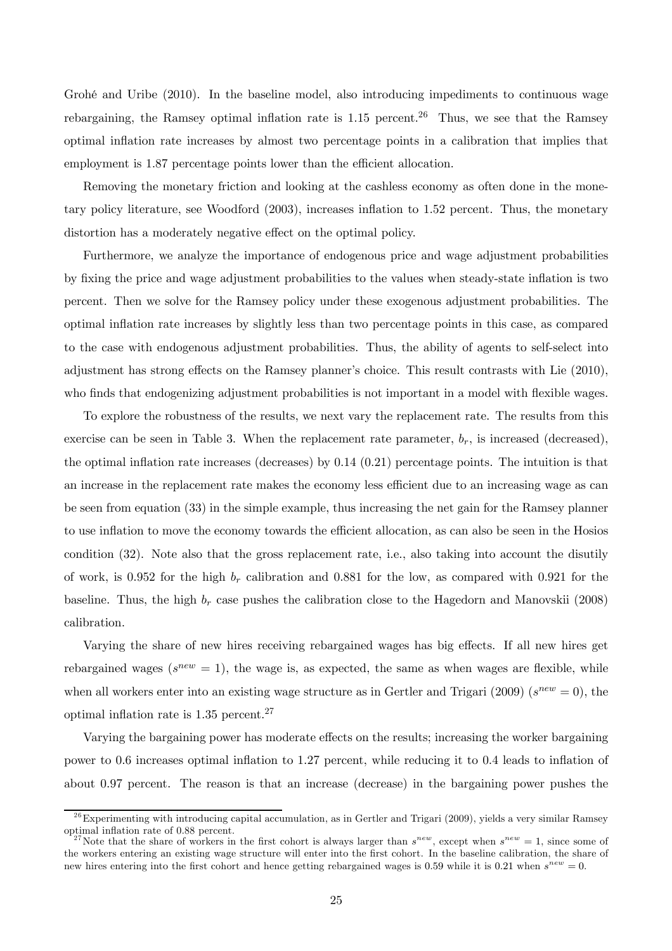Grohé and Uribe (2010). In the baseline model, also introducing impediments to continuous wage rebargaining, the Ramsey optimal inflation rate is  $1.15$  percent.<sup>26</sup> Thus, we see that the Ramsey optimal inflation rate increases by almost two percentage points in a calibration that implies that employment is 1.87 percentage points lower than the efficient allocation.

Removing the monetary friction and looking at the cashless economy as often done in the monetary policy literature, see Woodford (2003), increases inflation to 152 percent. Thus, the monetary distortion has a moderately negative effect on the optimal policy.

Furthermore, we analyze the importance of endogenous price and wage adjustment probabilities by fixing the price and wage adjustment probabilities to the values when steady-state inflation is two percent. Then we solve for the Ramsey policy under these exogenous adjustment probabilities. The optimal inflation rate increases by slightly less than two percentage points in this case, as compared to the case with endogenous adjustment probabilities. Thus, the ability of agents to self-select into adjustment has strong effects on the Ramsey planner's choice. This result contrasts with Lie (2010), who finds that endogenizing adjustment probabilities is not important in a model with flexible wages.

To explore the robustness of the results, we next vary the replacement rate. The results from this exercise can be seen in Table 3. When the replacement rate parameter,  $b_r$ , is increased (decreased), the optimal inflation rate increases (decreases) by  $0.14$   $(0.21)$  percentage points. The intuition is that an increase in the replacement rate makes the economy less efficient due to an increasing wage as can be seen from equation (33) in the simple example, thus increasing the net gain for the Ramsey planner to use inflation to move the economy towards the efficient allocation, as can also be seen in the Hosios condition (32). Note also that the gross replacement rate, i.e., also taking into account the disutily of work, is 0.952 for the high  $b_r$  calibration and 0.881 for the low, as compared with 0.921 for the baseline. Thus, the high  $b_r$  case pushes the calibration close to the Hagedorn and Manovskii (2008) calibration.

Varying the share of new hires receiving rebargained wages has big effects. If all new hires get rebargained wages ( $s^{new} = 1$ ), the wage is, as expected, the same as when wages are flexible, while when all workers enter into an existing wage structure as in Gertler and Trigari (2009) ( $s^{new} = 0$ ), the optimal inflation rate is 135 percent.27

Varying the bargaining power has moderate effects on the results; increasing the worker bargaining power to 06 increases optimal inflation to 127 percent, while reducing it to 04 leads to inflation of about 0.97 percent. The reason is that an increase (decrease) in the bargaining power pushes the

 $^{26}$ Experimenting with introducing capital accumulation, as in Gertler and Trigari (2009), yields a very similar Ramsey optimal inflation rate of 0.88 percent.<br><sup>27</sup>Note that the share of workers in the first cohort is always larger than  $s^{new}$ , except when  $s^{new} = 1$ , since some of

the workers entering an existing wage structure will enter into the first cohort. In the baseline calibration, the share of new hires entering into the first cohort and hence getting rebargained wages is 0.59 while it is 0.21 when  $s^{new} = 0$ .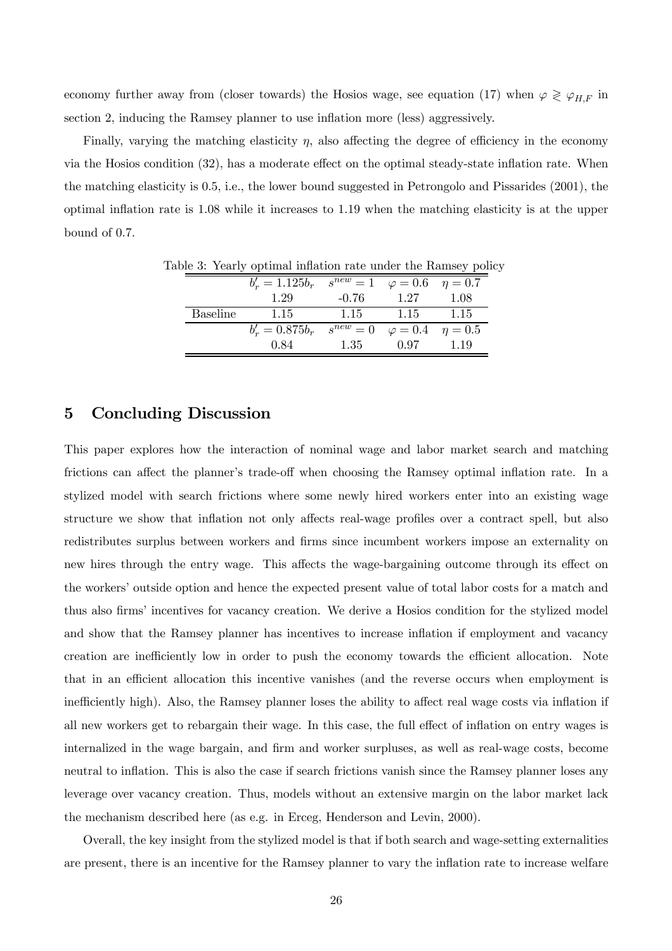economy further away from (closer towards) the Hosios wage, see equation (17) when  $\varphi \geq \varphi_{H,F}$  in section 2, inducing the Ramsey planner to use inflation more (less) aggressively.

Finally, varying the matching elasticity  $\eta$ , also affecting the degree of efficiency in the economy via the Hosios condition (32), has a moderate effect on the optimal steady-state inflation rate. When the matching elasticity is 05, i.e., the lower bound suggested in Petrongolo and Pissarides (2001), the optimal inflation rate is 108 while it increases to 119 when the matching elasticity is at the upper bound of  $0.7$ .

|                 | $b'_r = 1.125b_r$ | $s^{new} = 1$ $\varphi = 0.6$ $\eta = 0.7$ |                                  |      |
|-----------------|-------------------|--------------------------------------------|----------------------------------|------|
|                 | 1.29              | $-0.76$                                    | 1.27                             | 1.08 |
| <b>Baseline</b> | 1.15              | 1.15                                       | 1.15                             | 1.15 |
|                 | $b'_r = 0.875b_r$ | $s^{new} = 0$                              | $\varphi = 0.4 \quad \eta = 0.5$ |      |
|                 | 0.84              | 1.35                                       | 0.97                             | 1.19 |

Table 3: Yearly optimal inflation rate under the Ramsey policy

### 5 Concluding Discussion

This paper explores how the interaction of nominal wage and labor market search and matching frictions can affect the planner's trade-off when choosing the Ramsey optimal inflation rate. In a stylized model with search frictions where some newly hired workers enter into an existing wage structure we show that inflation not only affects real-wage profiles over a contract spell, but also redistributes surplus between workers and firms since incumbent workers impose an externality on new hires through the entry wage. This affects the wage-bargaining outcome through its effect on the workers' outside option and hence the expected present value of total labor costs for a match and thus also firms' incentives for vacancy creation. We derive a Hosios condition for the stylized model and show that the Ramsey planner has incentives to increase inflation if employment and vacancy creation are inefficiently low in order to push the economy towards the efficient allocation. Note that in an efficient allocation this incentive vanishes (and the reverse occurs when employment is inefficiently high). Also, the Ramsey planner loses the ability to affect real wage costs via inflation if all new workers get to rebargain their wage. In this case, the full effect of inflation on entry wages is internalized in the wage bargain, and firm and worker surpluses, as well as real-wage costs, become neutral to inflation. This is also the case if search frictions vanish since the Ramsey planner loses any leverage over vacancy creation. Thus, models without an extensive margin on the labor market lack the mechanism described here (as e.g. in Erceg, Henderson and Levin, 2000).

Overall, the key insight from the stylized model is that if both search and wage-setting externalities are present, there is an incentive for the Ramsey planner to vary the inflation rate to increase welfare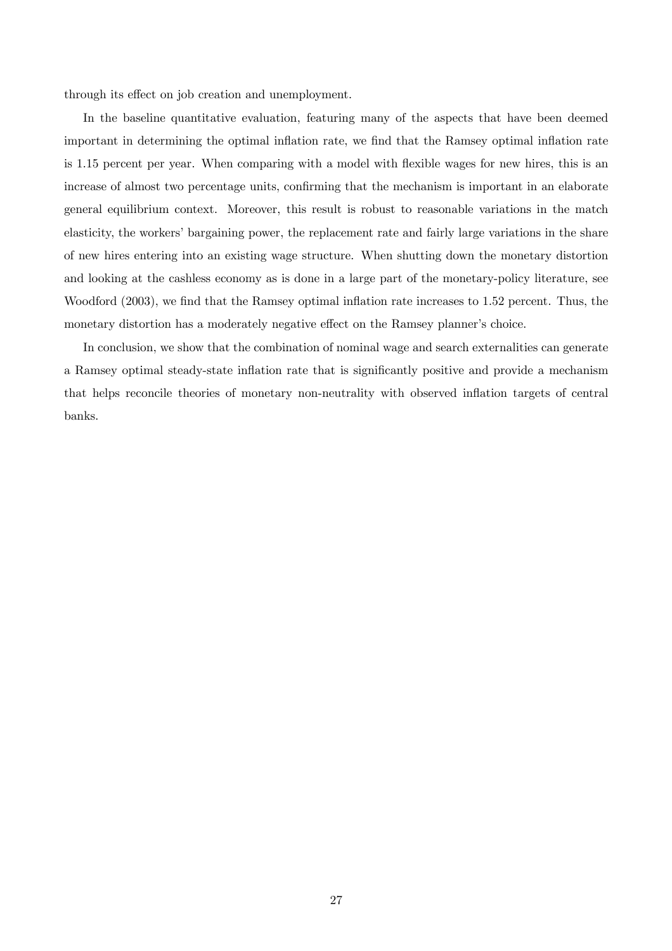through its effect on job creation and unemployment.

In the baseline quantitative evaluation, featuring many of the aspects that have been deemed important in determining the optimal inflation rate, we find that the Ramsey optimal inflation rate is 115 percent per year. When comparing with a model with flexible wages for new hires, this is an increase of almost two percentage units, confirming that the mechanism is important in an elaborate general equilibrium context. Moreover, this result is robust to reasonable variations in the match elasticity, the workers' bargaining power, the replacement rate and fairly large variations in the share of new hires entering into an existing wage structure. When shutting down the monetary distortion and looking at the cashless economy as is done in a large part of the monetary-policy literature, see Woodford (2003), we find that the Ramsey optimal inflation rate increases to 1.52 percent. Thus, the monetary distortion has a moderately negative effect on the Ramsey planner's choice.

In conclusion, we show that the combination of nominal wage and search externalities can generate a Ramsey optimal steady-state inflation rate that is significantly positive and provide a mechanism that helps reconcile theories of monetary non-neutrality with observed inflation targets of central banks.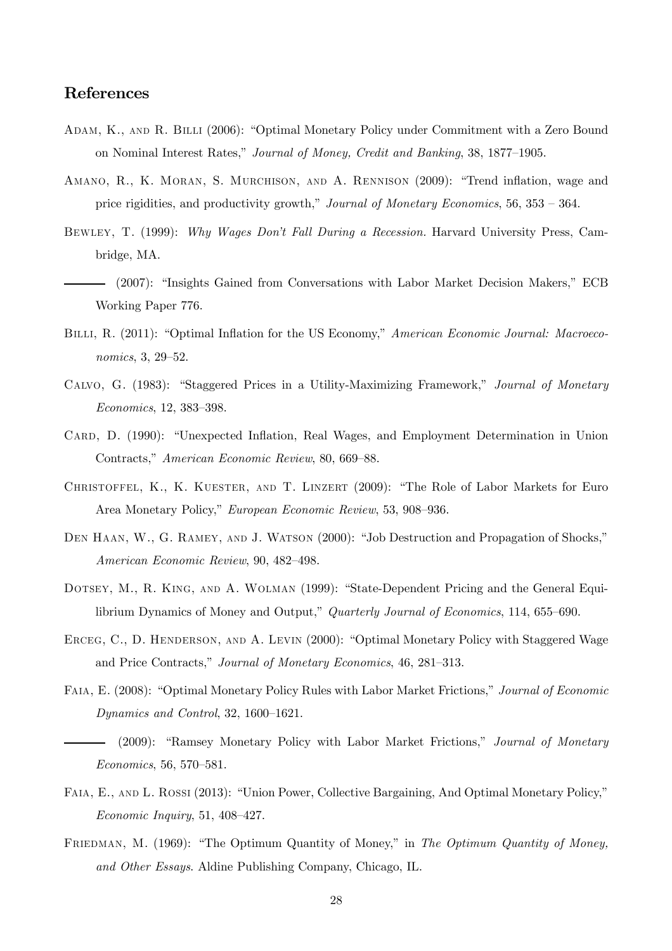## References

- Adam, K., and R. Billi (2006): "Optimal Monetary Policy under Commitment with a Zero Bound on Nominal Interest Rates," Journal of Money, Credit and Banking, 38, 1877—1905.
- Amano, R., K. Moran, S. Murchison, and A. Rennison (2009): "Trend inflation, wage and price rigidities, and productivity growth," Journal of Monetary Economics, 56, 353 — 364.
- Bewley, T. (1999): Why Wages Don't Fall During a Recession. Harvard University Press, Cambridge, MA.
	- (2007): "Insights Gained from Conversations with Labor Market Decision Makers," ECB Working Paper 776.
- BILLI, R. (2011): "Optimal Inflation for the US Economy," American Economic Journal: Macroeconomics, 3, 29—52.
- Calvo, G. (1983): "Staggered Prices in a Utility-Maximizing Framework," Journal of Monetary Economics, 12, 383—398.
- CARD, D. (1990): "Unexpected Inflation, Real Wages, and Employment Determination in Union Contracts," American Economic Review, 80, 669—88.
- CHRISTOFFEL, K., K. KUESTER, AND T. LINZERT (2009): "The Role of Labor Markets for Euro Area Monetary Policy," European Economic Review, 53, 908—936.
- DEN HAAN, W., G. RAMEY, AND J. WATSON (2000): "Job Destruction and Propagation of Shocks," American Economic Review, 90, 482—498.
- Dotsey, M., R. King, and A. Wolman (1999): "State-Dependent Pricing and the General Equilibrium Dynamics of Money and Output," Quarterly Journal of Economics, 114, 655—690.
- ERCEG, C., D. HENDERSON, AND A. LEVIN (2000): "Optimal Monetary Policy with Staggered Wage and Price Contracts," Journal of Monetary Economics, 46, 281—313.
- Faia, E. (2008): "Optimal Monetary Policy Rules with Labor Market Frictions," Journal of Economic Dynamics and Control, 32, 1600—1621.
- (2009): "Ramsey Monetary Policy with Labor Market Frictions," Journal of Monetary Economics, 56, 570—581.
- Faia, E., and L. Rossi (2013): "Union Power, Collective Bargaining, And Optimal Monetary Policy," Economic Inquiry, 51, 408—427.
- FRIEDMAN, M. (1969): "The Optimum Quantity of Money," in The Optimum Quantity of Money, and Other Essays. Aldine Publishing Company, Chicago, IL.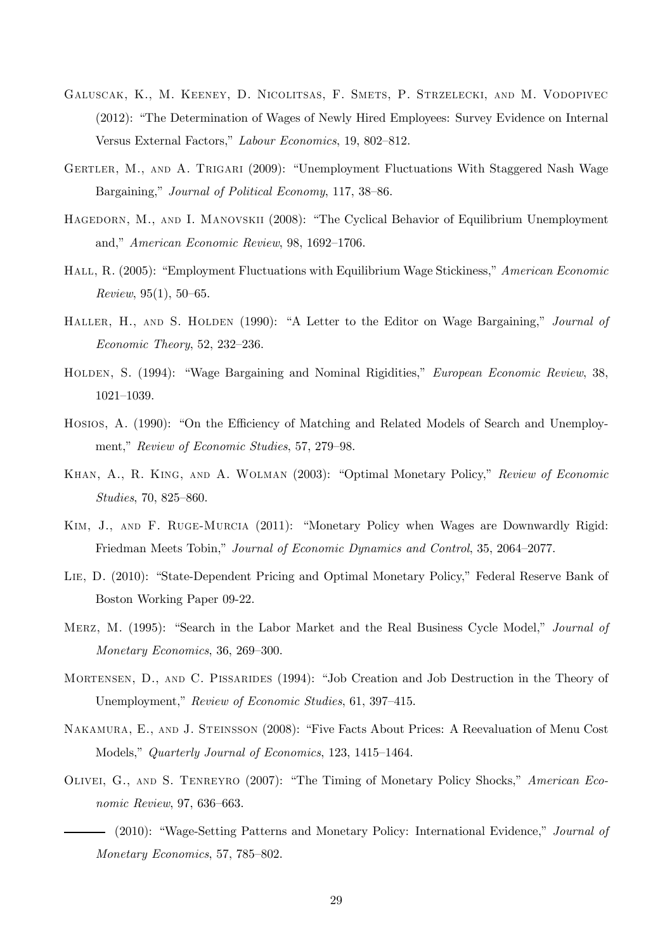- Galuscak, K., M. Keeney, D. Nicolitsas, F. Smets, P. Strzelecki, and M. Vodopivec (2012): "The Determination of Wages of Newly Hired Employees: Survey Evidence on Internal Versus External Factors," Labour Economics, 19, 802—812.
- GERTLER, M., AND A. TRIGARI (2009): "Unemployment Fluctuations With Staggered Nash Wage Bargaining," Journal of Political Economy, 117, 38—86.
- HAGEDORN, M., AND I. MANOVSKII (2008): "The Cyclical Behavior of Equilibrium Unemployment and," American Economic Review, 98, 1692—1706.
- Hall, R. (2005): "Employment Fluctuations with Equilibrium Wage Stickiness," American Economic Review, 95(1), 50—65.
- HALLER, H., AND S. HOLDEN (1990): "A Letter to the Editor on Wage Bargaining," Journal of Economic Theory, 52, 232—236.
- Holden, S. (1994): "Wage Bargaining and Nominal Rigidities," European Economic Review, 38, 1021—1039.
- Hosios, A. (1990): "On the Efficiency of Matching and Related Models of Search and Unemployment," Review of Economic Studies, 57, 279—98.
- Khan, A., R. King, and A. Wolman (2003): "Optimal Monetary Policy," Review of Economic Studies, 70, 825—860.
- Kim, J., and F. Ruge-Murcia (2011): "Monetary Policy when Wages are Downwardly Rigid: Friedman Meets Tobin," Journal of Economic Dynamics and Control, 35, 2064—2077.
- Lie, D. (2010): "State-Dependent Pricing and Optimal Monetary Policy," Federal Reserve Bank of Boston Working Paper 09-22.
- MERZ, M. (1995): "Search in the Labor Market and the Real Business Cycle Model," Journal of Monetary Economics, 36, 269—300.
- MORTENSEN, D., AND C. PISSARIDES (1994): "Job Creation and Job Destruction in the Theory of Unemployment," Review of Economic Studies, 61, 397—415.
- Nakamura, E., and J. Steinsson (2008): "Five Facts About Prices: A Reevaluation of Menu Cost Models," Quarterly Journal of Economics, 123, 1415—1464.
- OLIVEI, G., AND S. TENREYRO (2007): "The Timing of Monetary Policy Shocks," American Economic Review, 97, 636—663.
	- (2010): "Wage-Setting Patterns and Monetary Policy: International Evidence," Journal of Monetary Economics, 57, 785—802.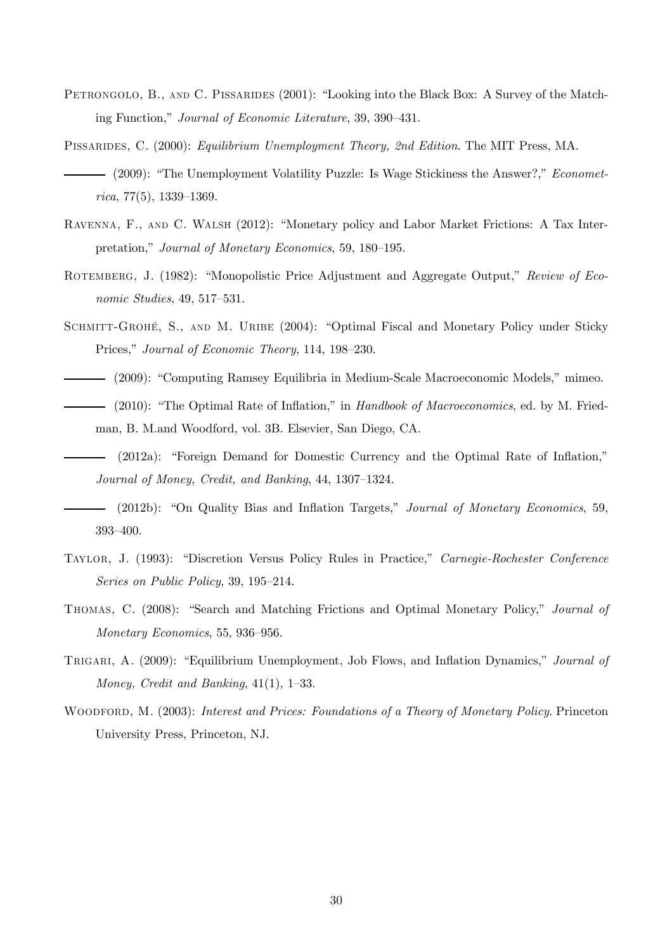- PETRONGOLO, B., AND C. PISSARIDES (2001): "Looking into the Black Box: A Survey of the Matching Function," Journal of Economic Literature, 39, 390—431.
- Pissarides, C. (2000): Equilibrium Unemployment Theory, 2nd Edition. The MIT Press, MA. (2009): "The Unemployment Volatility Puzzle: Is Wage Stickiness the Answer?," Econometrica, 77(5), 1339—1369.
- Ravenna, F., and C. Walsh (2012): "Monetary policy and Labor Market Frictions: A Tax Interpretation," Journal of Monetary Economics, 59, 180—195.
- ROTEMBERG, J. (1982): "Monopolistic Price Adjustment and Aggregate Output," Review of Economic Studies, 49, 517—531.
- SCHMITT-GROHÉ, S., AND M. URIBE (2004): "Optimal Fiscal and Monetary Policy under Sticky Prices," Journal of Economic Theory, 114, 198—230.
- (2009): "Computing Ramsey Equilibria in Medium-Scale Macroeconomic Models," mimeo. (2010): "The Optimal Rate of Inflation," in Handbook of Macroeconomics, ed. by M. Friedman, B. M.and Woodford, vol. 3B. Elsevier, San Diego, CA.
- (2012a): "Foreign Demand for Domestic Currency and the Optimal Rate of Inflation," Journal of Money, Credit, and Banking, 44, 1307—1324.
- (2012b): "On Quality Bias and Inflation Targets," Journal of Monetary Economics, 59, 393—400.
- Taylor, J. (1993): "Discretion Versus Policy Rules in Practice," Carnegie-Rochester Conference Series on Public Policy, 39, 195—214.
- Thomas, C. (2008): "Search and Matching Frictions and Optimal Monetary Policy," Journal of Monetary Economics, 55, 936—956.
- TRIGARI, A. (2009): "Equilibrium Unemployment, Job Flows, and Inflation Dynamics," Journal of Money, Credit and Banking, 41(1), 1—33.
- WOODFORD, M. (2003): Interest and Prices: Foundations of a Theory of Monetary Policy. Princeton University Press, Princeton, NJ.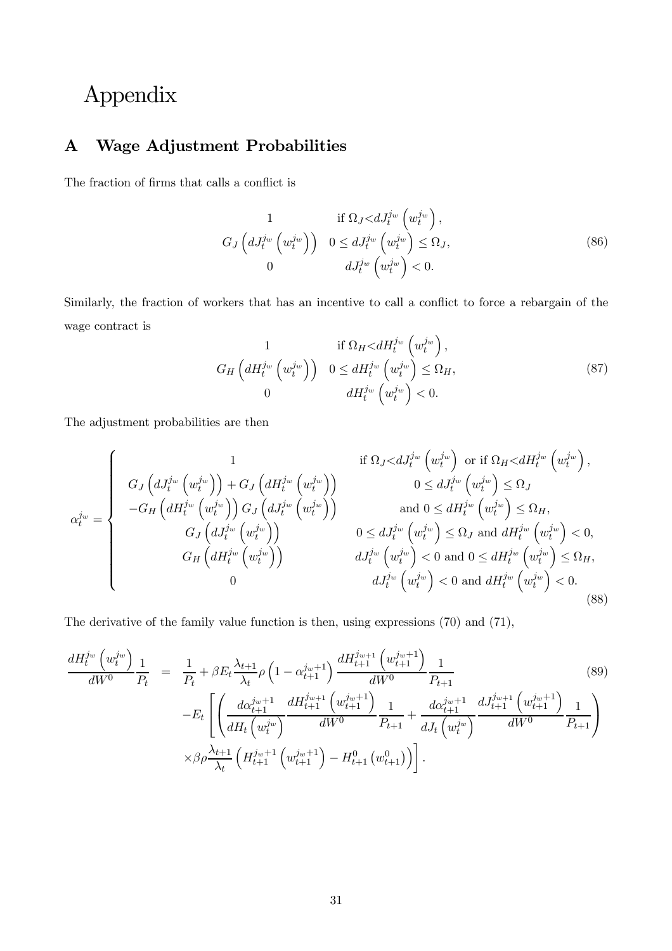# Appendix

# A Wage Adjustment Probabilities

The fraction of firms that calls a conflict is

$$
G_J\left(dJ_t^{j_w}\left(w_t^{j_w}\right)\right) \quad 0 \le dJ_t^{j_w}\left(w_t^{j_w}\right) \le \Omega_J,
$$
\n
$$
0 \qquad \qquad dJ_t^{j_w}\left(w_t^{j_w}\right) \le 0.
$$
\n(86)

Similarly, the fraction of workers that has an incentive to call a conflict to force a rebargain of the wage contract is

$$
G_H\left(dH_t^{j_w}\left(w_t^{j_w}\right)\right) \quad 0 \le dH_t^{j_w}\left(w_t^{j_w}\right) \le \Omega_H, \n0 \qquad dH_t^{j_w}\left(w_t^{j_w}\right) \le 0.
$$
\n(87)

The adjustment probabilities are then

$$
\alpha_t^{j_w} = \begin{cases}\n1 & \text{if } \Omega_J < dJ_t^{j_w} \left( w_t^{j_w} \right) \text{ or if } \Omega_H < dH_t^{j_w} \left( w_t^{j_w} \right), \\
G_J \left( dJ_t^{j_w} \left( w_t^{j_w} \right) \right) + G_J \left( dH_t^{j_w} \left( w_t^{j_w} \right) \right) & 0 \le dJ_t^{j_w} \left( w_t^{j_w} \right) \le \Omega_J \\
-G_H \left( dH_t^{j_w} \left( w_t^{j_w} \right) \right) G_J \left( dJ_t^{j_w} \left( w_t^{j_w} \right) \right) & \text{and } 0 \le dH_t^{j_w} \left( w_t^{j_w} \right) \le \Omega_H, \\
G_J \left( dJ_t^{j_w} \left( w_t^{j_w} \right) \right) & 0 \le dJ_t^{j_w} \left( w_t^{j_w} \right) \le \Omega_J \text{ and } dH_t^{j_w} \left( w_t^{j_w} \right) < 0, \\
G_H \left( dH_t^{j_w} \left( w_t^{j_w} \right) \right) & dJ_t^{j_w} \left( w_t^{j_w} \right) < 0 \text{ and } 0 \le dH_t^{j_w} \left( w_t^{j_w} \right) \le \Omega_H, \\
0 & dJ_t^{j_w} \left( w_t^{j_w} \right) < 0 \text{ and } dH_t^{j_w} \left( w_t^{j_w} \right) < 0.\n\end{cases}
$$
\n
$$
(88)
$$

The derivative of the family value function is then, using expressions (70) and (71),

$$
\frac{dH_t^{j_w}\left(w_t^{j_w}\right)}{dW^0} \frac{1}{P_t} = \frac{1}{P_t} + \beta E_t \frac{\lambda_{t+1}}{\lambda_t} \rho \left(1 - \alpha_{t+1}^{j_w+1}\right) \frac{dH_{t+1}^{j_w+1}\left(w_{t+1}^{j_w+1}\right)}{dW^0} \frac{1}{P_{t+1}} -E_t \left[ \left(\frac{d\alpha_{t+1}^{j_w+1}}{dH_t\left(w_t^{j_w}\right)} \frac{dH_{t+1}^{j_w+1}\left(w_{t+1}^{j_w+1}\right)}{dW^0} \frac{1}{P_{t+1}} + \frac{d\alpha_{t+1}^{j_w+1}}{dJ_t\left(w_t^{j_w}\right)} \frac{dJ_{t+1}^{j_w+1}\left(w_{t+1}^{j_w+1}\right)}{dW^0} \frac{1}{P_{t+1}} \right) \times \beta \rho \frac{\lambda_{t+1}}{\lambda_t} \left(H_{t+1}^{j_w+1}\left(w_{t+1}^{j_w+1}\right) - H_{t+1}^0\left(w_{t+1}^0\right)\right) \right].
$$
\n
$$
(89)
$$